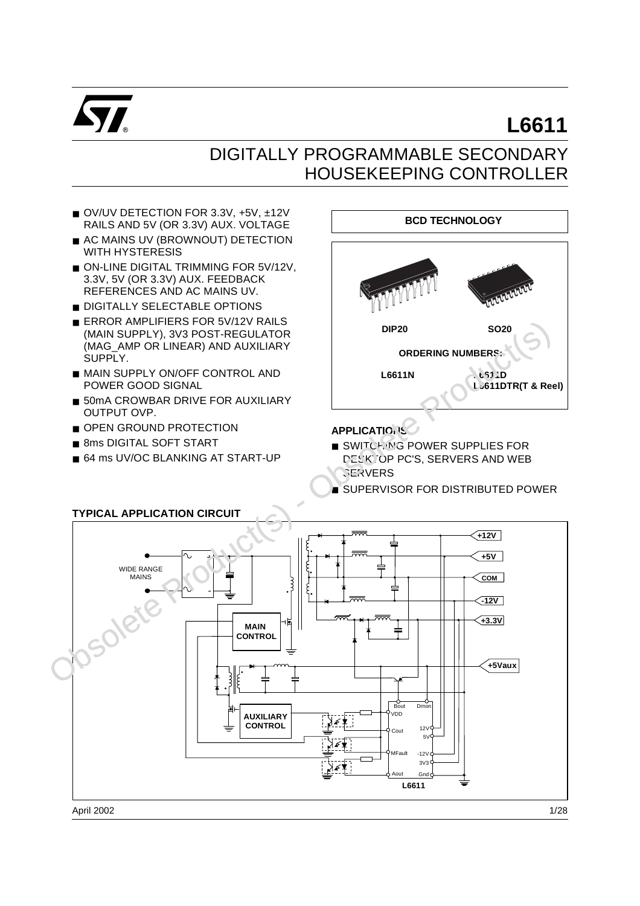

# **L6611**

## DIGITALLY PROGRAMMABLE SECONDARY HOUSEKEEPING CONTROLLER

- OV/UV DETECTION FOR 3.3V, +5V, ±12V RAILS AND 5V (OR 3.3V) AUX. VOLTAGE
- AC MAINS UV (BROWNOUT) DETECTION WITH HYSTERESIS
- ON-LINE DIGITAL TRIMMING FOR 5V/12V, 3.3V, 5V (OR 3.3V) AUX. FEEDBACK REFERENCES AND AC MAINS UV.
- DIGITALLY SELECTABLE OPTIONS
- ERROR AMPLIFIERS FOR 5V/12V RAILS (MAIN SUPPLY), 3V3 POST-REGULATOR (MAG\_AMP OR LINEAR) AND AUXILIARY SUPPLY.
- MAIN SUPPLY ON/OFF CONTROL AND POWER GOOD SIGNAL
- 50mA CROWBAR DRIVE FOR AUXILIARY OUTPUT OVP.
- OPEN GROUND PROTECTION
- 8ms DIGITAL SOFT START
- 64 ms UV/OC BLANKING AT START-UP



**APPLICATIONS** 

- SWITCHING POWER SUPPLIES FOR DESKTOP PC'S, SERVERS AND WEB *SERVERS*
- **SUPERVISOR FOR DISTRIBUTED POWER**



#### **TYPICAL APPLICATION CIRCUIT**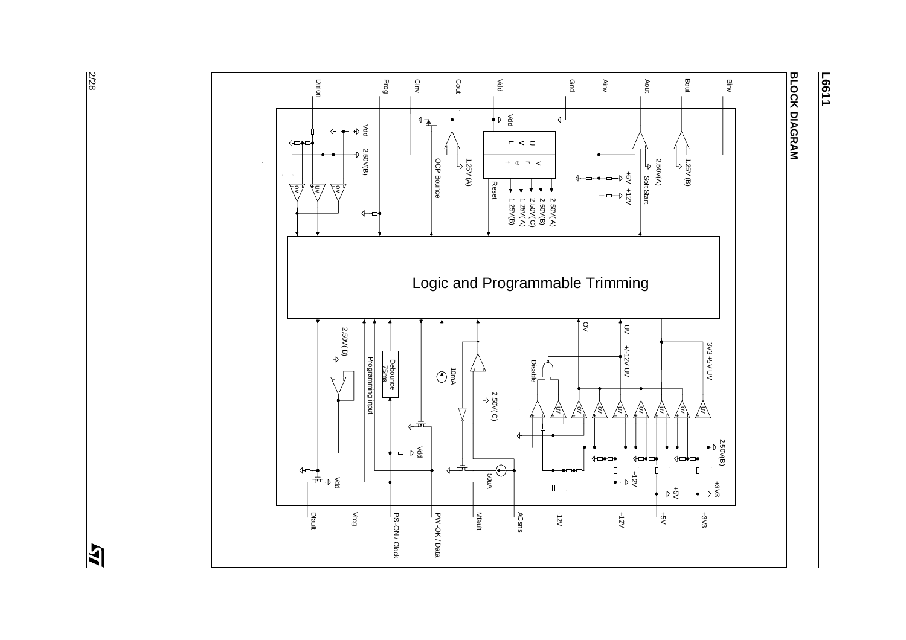

**L6611** 

 $\overline{\mathbf{z}}$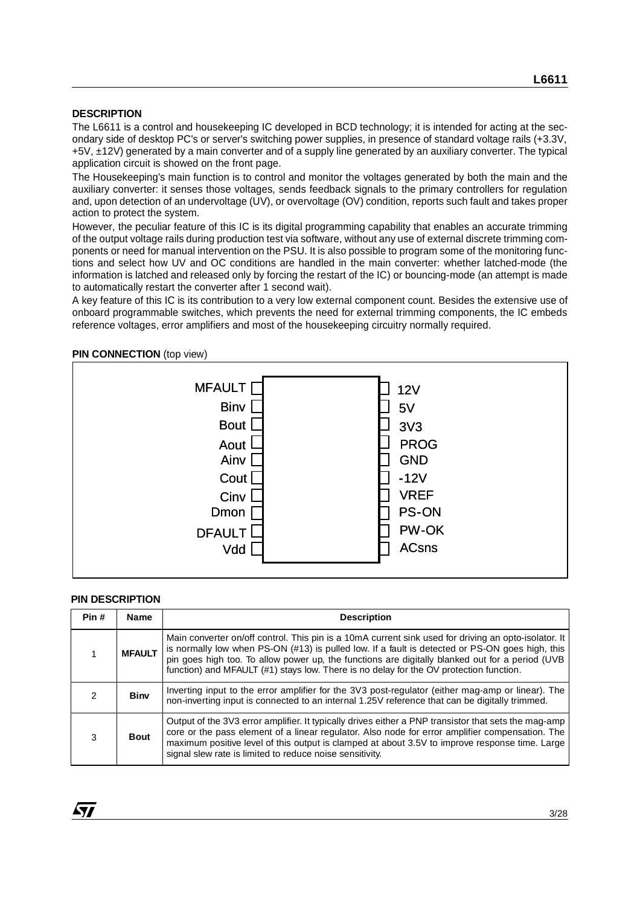#### **DESCRIPTION**

The L6611 is a control and housekeeping IC developed in BCD technology; it is intended for acting at the secondary side of desktop PC's or server's switching power supplies, in presence of standard voltage rails (+3.3V, +5V, ±12V) generated by a main converter and of a supply line generated by an auxiliary converter. The typical application circuit is showed on the front page.

The Housekeeping's main function is to control and monitor the voltages generated by both the main and the auxiliary converter: it senses those voltages, sends feedback signals to the primary controllers for regulation and, upon detection of an undervoltage (UV), or overvoltage (OV) condition, reports such fault and takes proper action to protect the system.

However, the peculiar feature of this IC is its digital programming capability that enables an accurate trimming of the output voltage rails during production test via software, without any use of external discrete trimming components or need for manual intervention on the PSU. It is also possible to program some of the monitoring functions and select how UV and OC conditions are handled in the main converter: whether latched-mode (the information is latched and released only by forcing the restart of the IC) or bouncing-mode (an attempt is made to automatically restart the converter after 1 second wait).

A key feature of this IC is its contribution to a very low external component count. Besides the extensive use of onboard programmable switches, which prevents the need for external trimming components, the IC embeds reference voltages, error amplifiers and most of the housekeeping circuitry normally required.

#### **PIN CONNECTION** (top view)



#### **PIN DESCRIPTION**

| Pin # | <b>Name</b>   | <b>Description</b>                                                                                                                                                                                                                                                                                                                                                                                   |
|-------|---------------|------------------------------------------------------------------------------------------------------------------------------------------------------------------------------------------------------------------------------------------------------------------------------------------------------------------------------------------------------------------------------------------------------|
|       | <b>MFAULT</b> | Main converter on/off control. This pin is a 10mA current sink used for driving an opto-isolator. It<br>is normally low when PS-ON (#13) is pulled low. If a fault is detected or PS-ON goes high, this<br>pin goes high too. To allow power up, the functions are digitally blanked out for a period (UVB<br>function) and MFAULT (#1) stays low. There is no delay for the OV protection function. |
| 2     | <b>Biny</b>   | Inverting input to the error amplifier for the 3V3 post-regulator (either mag-amp or linear). The<br>non-inverting input is connected to an internal 1.25V reference that can be digitally trimmed.                                                                                                                                                                                                  |
| 3     | <b>Bout</b>   | Output of the 3V3 error amplifier. It typically drives either a PNP transistor that sets the mag-amp<br>core or the pass element of a linear regulator. Also node for error amplifier compensation. The<br>maximum positive level of this output is clamped at about 3.5V to improve response time. Large<br>signal slew rate is limited to reduce noise sensitivity.                                |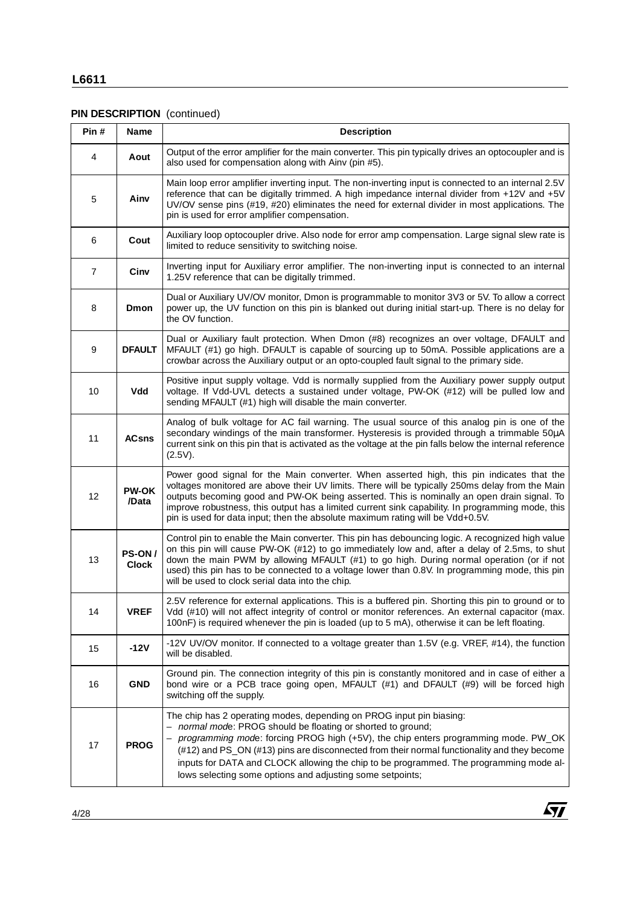### **L6611**

#### **PIN DESCRIPTION** (continued)

| Pin # | Name                          | <b>Description</b>                                                                                                                                                                                                                                                                                                                                                                                                                                                               |
|-------|-------------------------------|----------------------------------------------------------------------------------------------------------------------------------------------------------------------------------------------------------------------------------------------------------------------------------------------------------------------------------------------------------------------------------------------------------------------------------------------------------------------------------|
| 4     | Aout                          | Output of the error amplifier for the main converter. This pin typically drives an optocoupler and is<br>also used for compensation along with Ainv (pin #5).                                                                                                                                                                                                                                                                                                                    |
| 5     | Ainv                          | Main loop error amplifier inverting input. The non-inverting input is connected to an internal 2.5V<br>reference that can be digitally trimmed. A high impedance internal divider from +12V and +5V<br>UV/OV sense pins (#19, #20) eliminates the need for external divider in most applications. The<br>pin is used for error amplifier compensation.                                                                                                                           |
| 6     | Cout                          | Auxiliary loop optocoupler drive. Also node for error amp compensation. Large signal slew rate is<br>limited to reduce sensitivity to switching noise.                                                                                                                                                                                                                                                                                                                           |
| 7     | Cinv                          | Inverting input for Auxiliary error amplifier. The non-inverting input is connected to an internal<br>1.25V reference that can be digitally trimmed.                                                                                                                                                                                                                                                                                                                             |
| 8     | <b>Dmon</b>                   | Dual or Auxiliary UV/OV monitor, Dmon is programmable to monitor 3V3 or 5V. To allow a correct<br>power up, the UV function on this pin is blanked out during initial start-up. There is no delay for<br>the OV function.                                                                                                                                                                                                                                                        |
| 9     | <b>DFAULT</b>                 | Dual or Auxiliary fault protection. When Dmon (#8) recognizes an over voltage, DFAULT and<br>MFAULT (#1) go high. DFAULT is capable of sourcing up to 50mA. Possible applications are a<br>crowbar across the Auxiliary output or an opto-coupled fault signal to the primary side.                                                                                                                                                                                              |
| 10    | Vdd                           | Positive input supply voltage. Vdd is normally supplied from the Auxiliary power supply output<br>voltage. If Vdd-UVL detects a sustained under voltage, PW-OK (#12) will be pulled low and<br>sending MFAULT (#1) high will disable the main converter.                                                                                                                                                                                                                         |
| 11    | <b>ACsns</b>                  | Analog of bulk voltage for AC fail warning. The usual source of this analog pin is one of the<br>secondary windings of the main transformer. Hysteresis is provided through a trimmable 50µA<br>current sink on this pin that is activated as the voltage at the pin falls below the internal reference<br>(2.5V).                                                                                                                                                               |
| 12    | <b>PW-OK</b><br>/Data         | Power good signal for the Main converter. When asserted high, this pin indicates that the<br>voltages monitored are above their UV limits. There will be typically 250ms delay from the Main<br>outputs becoming good and PW-OK being asserted. This is nominally an open drain signal. To<br>improve robustness, this output has a limited current sink capability. In programming mode, this<br>pin is used for data input; then the absolute maximum rating will be Vdd+0.5V. |
| 13    | <b>PS-ON/</b><br><b>Clock</b> | Control pin to enable the Main converter. This pin has debouncing logic. A recognized high value<br>on this pin will cause PW-OK (#12) to go immediately low and, after a delay of 2.5ms, to shut<br>down the main PWM by allowing MFAULT (#1) to go high. During normal operation (or if not<br>used) this pin has to be connected to a voltage lower than 0.8V. In programming mode, this pin<br>will be used to clock serial data into the chip.                              |
| 14    | <b>VREF</b>                   | 2.5V reference for external applications. This is a buffered pin. Shorting this pin to ground or to<br>Vdd (#10) will not affect integrity of control or monitor references. An external capacitor (max.<br>100nF) is required whenever the pin is loaded (up to 5 mA), otherwise it can be left floating.                                                                                                                                                                       |
| 15    | $-12V$                        | -12V UV/OV monitor. If connected to a voltage greater than 1.5V (e.g. VREF, #14), the function<br>will be disabled.                                                                                                                                                                                                                                                                                                                                                              |
| 16    | <b>GND</b>                    | Ground pin. The connection integrity of this pin is constantly monitored and in case of either a<br>bond wire or a PCB trace going open, MFAULT (#1) and DFAULT (#9) will be forced high<br>switching off the supply.                                                                                                                                                                                                                                                            |
| 17    | <b>PROG</b>                   | The chip has 2 operating modes, depending on PROG input pin biasing:<br>- normal mode: PROG should be floating or shorted to ground;<br>programming mode: forcing PROG high (+5V), the chip enters programming mode. PW_OK<br>(#12) and PS_ON (#13) pins are disconnected from their normal functionality and they become<br>inputs for DATA and CLOCK allowing the chip to be programmed. The programming mode al-<br>lows selecting some options and adjusting some setpoints; |

 $\sqrt{M}$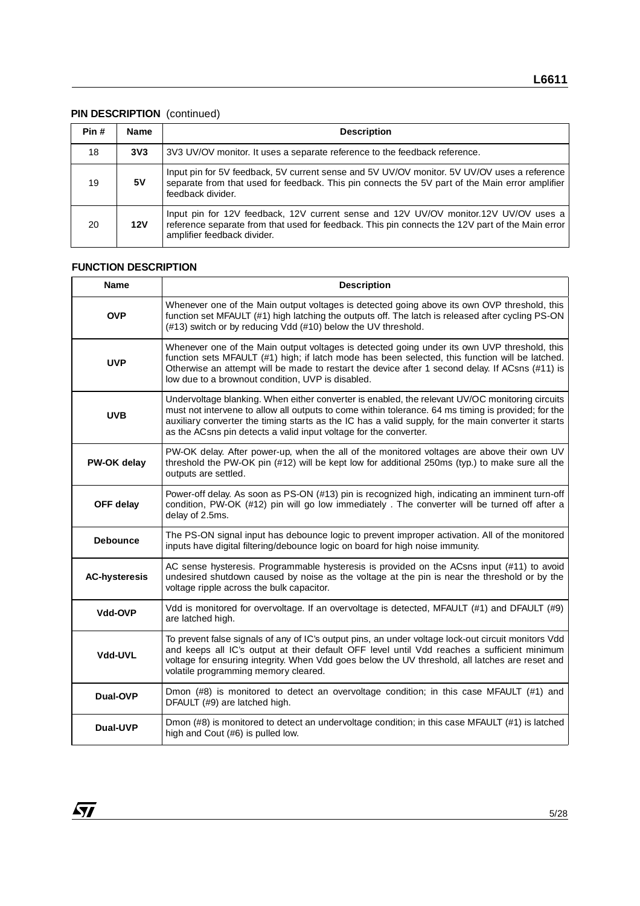#### **PIN DESCRIPTION** (continued)

| Pin # | <b>Name</b>     | <b>Description</b>                                                                                                                                                                                                      |
|-------|-----------------|-------------------------------------------------------------------------------------------------------------------------------------------------------------------------------------------------------------------------|
| 18    | 3V <sub>3</sub> | 3V3 UV/OV monitor. It uses a separate reference to the feedback reference.                                                                                                                                              |
| 19    | 5V              | Input pin for 5V feedback, 5V current sense and 5V UV/OV monitor. 5V UV/OV uses a reference<br>separate from that used for feedback. This pin connects the 5V part of the Main error amplifier<br>feedback divider.     |
| 20    | 12V             | Input pin for 12V feedback, 12V current sense and 12V UV/OV monitor.12V UV/OV uses a<br>reference separate from that used for feedback. This pin connects the 12V part of the Main error<br>amplifier feedback divider. |

#### **FUNCTION DESCRIPTION**

| <b>Name</b>          | <b>Description</b>                                                                                                                                                                                                                                                                                                                                                                  |
|----------------------|-------------------------------------------------------------------------------------------------------------------------------------------------------------------------------------------------------------------------------------------------------------------------------------------------------------------------------------------------------------------------------------|
| <b>OVP</b>           | Whenever one of the Main output voltages is detected going above its own OVP threshold, this<br>function set MFAULT (#1) high latching the outputs off. The latch is released after cycling PS-ON<br>(#13) switch or by reducing Vdd (#10) below the UV threshold.                                                                                                                  |
| <b>UVP</b>           | Whenever one of the Main output voltages is detected going under its own UVP threshold, this<br>function sets MFAULT (#1) high; if latch mode has been selected, this function will be latched.<br>Otherwise an attempt will be made to restart the device after 1 second delay. If ACsns (#11) is<br>low due to a brownout condition, UVP is disabled.                             |
| <b>UVB</b>           | Undervoltage blanking. When either converter is enabled, the relevant UV/OC monitoring circuits<br>must not intervene to allow all outputs to come within tolerance. 64 ms timing is provided; for the<br>auxiliary converter the timing starts as the IC has a valid supply, for the main converter it starts<br>as the ACsns pin detects a valid input voltage for the converter. |
| PW-OK delay          | PW-OK delay. After power-up, when the all of the monitored voltages are above their own UV<br>threshold the PW-OK pin (#12) will be kept low for additional 250ms (typ.) to make sure all the<br>outputs are settled.                                                                                                                                                               |
| OFF delay            | Power-off delay. As soon as PS-ON (#13) pin is recognized high, indicating an imminent turn-off<br>condition, PW-OK (#12) pin will go low immediately . The converter will be turned off after a<br>delay of 2.5ms.                                                                                                                                                                 |
| <b>Debounce</b>      | The PS-ON signal input has debounce logic to prevent improper activation. All of the monitored<br>inputs have digital filtering/debounce logic on board for high noise immunity.                                                                                                                                                                                                    |
| <b>AC-hysteresis</b> | AC sense hysteresis. Programmable hysteresis is provided on the ACsns input (#11) to avoid<br>undesired shutdown caused by noise as the voltage at the pin is near the threshold or by the<br>voltage ripple across the bulk capacitor.                                                                                                                                             |
| Vdd-OVP              | Vdd is monitored for overvoltage. If an overvoltage is detected, MFAULT (#1) and DFAULT (#9)<br>are latched high.                                                                                                                                                                                                                                                                   |
| Vdd-UVL              | To prevent false signals of any of IC's output pins, an under voltage lock-out circuit monitors Vdd<br>and keeps all IC's output at their default OFF level until Vdd reaches a sufficient minimum<br>voltage for ensuring integrity. When Vdd goes below the UV threshold, all latches are reset and<br>volatile programming memory cleared.                                       |
| Dual-OVP             | Dmon (#8) is monitored to detect an overvoltage condition; in this case MFAULT (#1) and<br>DFAULT (#9) are latched high.                                                                                                                                                                                                                                                            |
| Dual-UVP             | Dmon (#8) is monitored to detect an undervoltage condition; in this case MFAULT (#1) is latched<br>high and Cout (#6) is pulled low.                                                                                                                                                                                                                                                |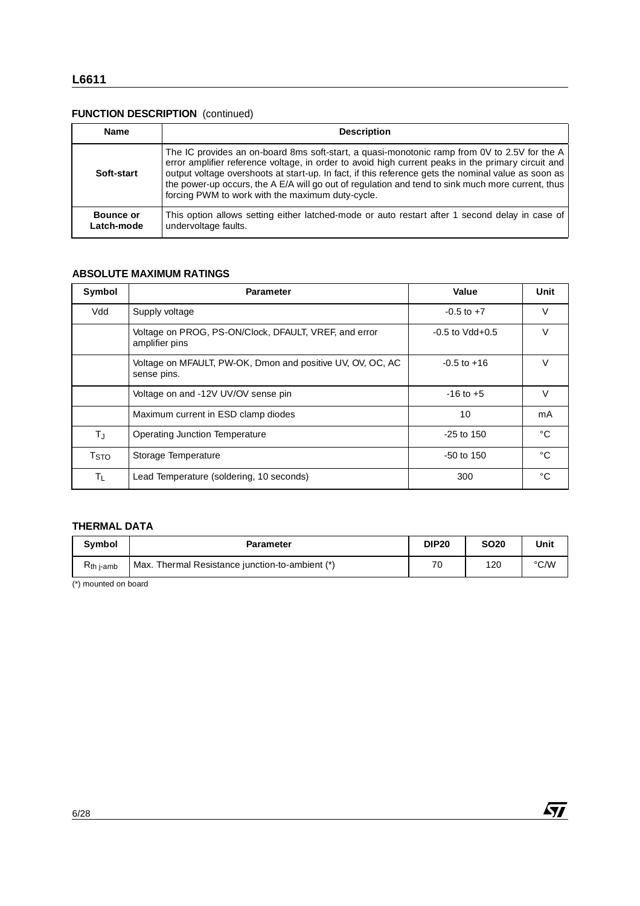#### **FUNCTION DESCRIPTION** (continued)

| <b>Name</b>                    | <b>Description</b>                                                                                                                                                                                                                                                                                                                                                                                                                                                 |
|--------------------------------|--------------------------------------------------------------------------------------------------------------------------------------------------------------------------------------------------------------------------------------------------------------------------------------------------------------------------------------------------------------------------------------------------------------------------------------------------------------------|
| Soft-start                     | The IC provides an on-board 8ms soft-start, a quasi-monotonic ramp from 0V to 2.5V for the A<br>error amplifier reference voltage, in order to avoid high current peaks in the primary circuit and<br>output voltage overshoots at start-up. In fact, if this reference gets the nominal value as soon as<br>the power-up occurs, the A E/A will go out of regulation and tend to sink much more current, thus<br>forcing PWM to work with the maximum duty-cycle. |
| <b>Bounce or</b><br>Latch-mode | This option allows setting either latched-mode or auto restart after 1 second delay in case of<br>undervoltage faults.                                                                                                                                                                                                                                                                                                                                             |

#### **ABSOLUTE MAXIMUM RATINGS**

| Supply voltage                                                            |                                        | Value       | Unit                                                 |
|---------------------------------------------------------------------------|----------------------------------------|-------------|------------------------------------------------------|
|                                                                           | $-0.5$ to $+7$<br>$-0.5$ to Vdd $+0.5$ |             | V                                                    |
| Voltage on PROG, PS-ON/Clock, DFAULT, VREF, and error<br>amplifier pins   |                                        |             | $\vee$                                               |
| Voltage on MFAULT, PW-OK, Dmon and positive UV, OV, OC, AC<br>sense pins. |                                        |             | $\vee$                                               |
| Voltage on and -12V UV/OV sense pin                                       |                                        |             | $\vee$                                               |
| Maximum current in ESD clamp diodes                                       |                                        |             | mA                                                   |
| <b>Operating Junction Temperature</b>                                     |                                        |             | $^{\circ}C$                                          |
| Storage Temperature                                                       | $-50$ to $150$                         |             | $^{\circ}C$                                          |
| Lead Temperature (soldering, 10 seconds)                                  | 300                                    |             | $^{\circ}C$                                          |
|                                                                           |                                        |             |                                                      |
| <b>THERMAL DATA</b><br><b>Parameter</b>                                   | <b>DIP20</b>                           | <b>SO20</b> | Unit                                                 |
|                                                                           |                                        |             | $-0.5$ to $+16$<br>$-16$ to $+5$<br>10<br>-25 to 150 |

#### **THERMAL DATA**

| <b>Symbol</b>  | <b>Parameter</b>                                | <b>DIP20</b> | <b>SO20</b> | Unit |
|----------------|-------------------------------------------------|--------------|-------------|------|
| $R_{th}$ j-amb | Max. Thermal Resistance junction-to-ambient (*) | 70           | 120         | °C/W |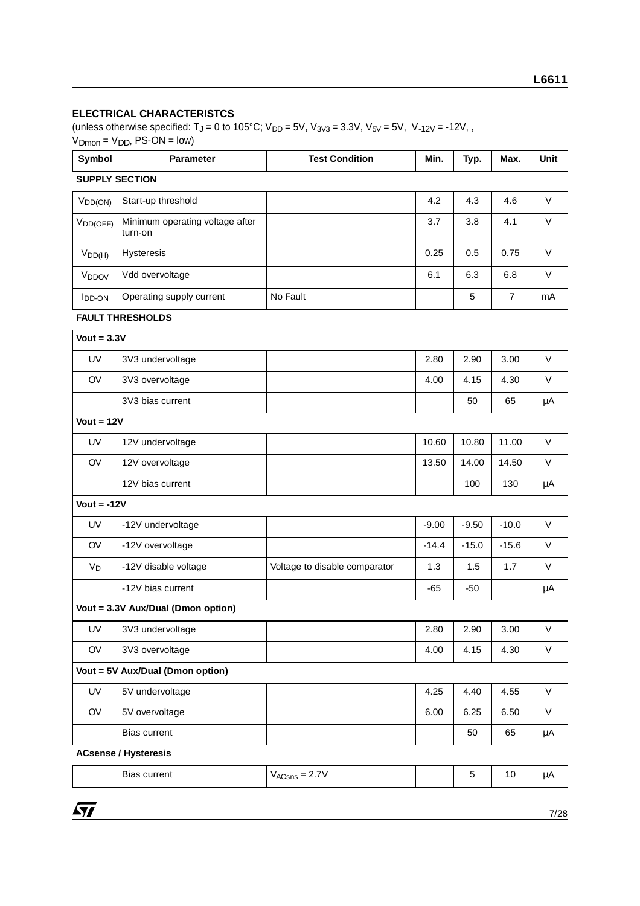#### **ELECTRICAL CHARACTERISTCS**

(unless otherwise specified:  $T_J = 0$  to 105°C;  $V_{DD} = 5V$ ,  $V_{3V3} = 3.3V$ ,  $V_{5V} = 5V$ ,  $V_{-12V} = -12V$ ,  $V_{\text{Dmon}} = V_{\text{DD}}$ , PS-ON = low)

| Symbol                | <b>Parameter</b>                           | <b>Test Condition</b>         | Min.    | Typ.    | Max.           | Unit    |
|-----------------------|--------------------------------------------|-------------------------------|---------|---------|----------------|---------|
| <b>SUPPLY SECTION</b> |                                            |                               |         |         |                |         |
| $V_{DD(ON)}$          | Start-up threshold                         |                               | 4.2     | 4.3     | 4.6            | $\vee$  |
| V <sub>DD(OFF)</sub>  | Minimum operating voltage after<br>turn-on |                               | 3.7     | 3.8     | 4.1            | $\vee$  |
| $V_{DD(H)}$           | Hysteresis                                 |                               | 0.25    | 0.5     | 0.75           | $\vee$  |
| V <sub>DDOV</sub>     | Vdd overvoltage                            |                               | 6.1     | 6.3     | 6.8            | $\vee$  |
| <b>I</b> DD-ON        | Operating supply current                   | No Fault                      |         | 5       | $\overline{7}$ | mA      |
|                       | <b>FAULT THRESHOLDS</b>                    |                               |         |         |                |         |
| Vout = $3.3V$         |                                            |                               |         |         |                |         |
| UV                    | 3V3 undervoltage                           |                               | 2.80    | 2.90    | 3.00           | $\vee$  |
| OV                    | 3V3 overvoltage                            |                               | 4.00    | 4.15    | 4.30           | V       |
|                       | 3V3 bias current                           |                               |         | 50      | 65             | μA      |
| $Vout = 12V$          |                                            |                               |         |         |                |         |
| UV                    | 12V undervoltage                           |                               | 10.60   | 10.80   | 11.00          | $\vee$  |
| OV                    | 12V overvoltage                            |                               | 13.50   | 14.00   | 14.50          | $\vee$  |
|                       | 12V bias current                           |                               |         | 100     | 130            | μA      |
| Vout = $-12V$         |                                            |                               |         |         |                |         |
| UV                    | -12V undervoltage                          |                               | $-9.00$ | $-9.50$ | $-10.0$        | $\vee$  |
| OV                    | -12V overvoltage                           |                               | $-14.4$ | $-15.0$ | $-15.6$        | $\vee$  |
| $V_D$                 | -12V disable voltage                       | Voltage to disable comparator | 1.3     | 1.5     | 1.7            | $\vee$  |
|                       | -12V bias current                          |                               | $-65$   | $-50$   |                | μA      |
|                       | Vout = 3.3V Aux/Dual (Dmon option)         |                               |         |         |                |         |
| UV                    | 3V3 undervoltage                           |                               | 2.80    | 2.90    | 3.00           | V       |
| OV                    | 3V3 overvoltage                            |                               | 4.00    | 4.15    | 4.30           | $\vee$  |
|                       | Vout = 5V Aux/Dual (Dmon option)           |                               |         |         |                |         |
| UV                    | 5V undervoltage                            |                               | 4.25    | 4.40    | 4.55           | V       |
| OV                    | 5V overvoltage                             |                               | 6.00    | 6.25    | 6.50           | V       |
|                       | Bias current                               |                               |         | 50      | 65             | $\mu A$ |

| - -<br>current<br>Bias<br>. | $\overline{\phantom{a}}$<br>-<br><u>—</u><br>VACsns<br>$\sim \cdot$ $\cdot$ |  |  |  | ື້ |
|-----------------------------|-----------------------------------------------------------------------------|--|--|--|----|
|-----------------------------|-----------------------------------------------------------------------------|--|--|--|----|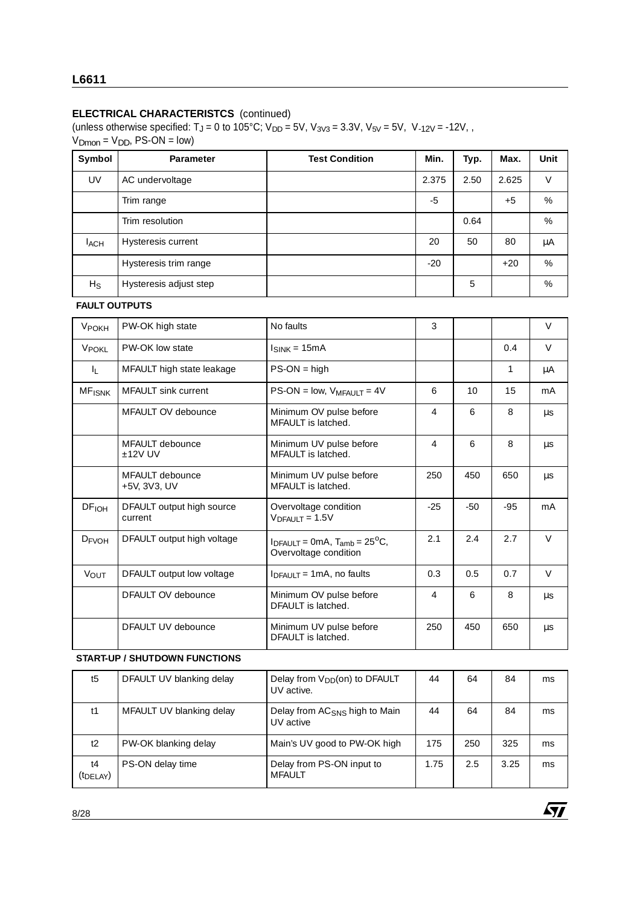(unless otherwise specified:  $T_J = 0$  to 105°C;  $V_{DD} = 5V$ ,  $V_{3V3} = 3.3V$ ,  $V_{5V} = 5V$ ,  $V_{-12V} = -12V$ ,  $V<sub>Dmon</sub> = V<sub>DD</sub>, PS-ON = low$ 

| Symbol    | <b>Parameter</b>       | <b>Test Condition</b> | Min.  | Typ. | Max.  | <b>Unit</b> |
|-----------|------------------------|-----------------------|-------|------|-------|-------------|
| UV        | AC undervoltage        |                       | 2.375 | 2.50 | 2.625 | V           |
|           | Trim range             |                       | -5    |      | $+5$  | %           |
|           | Trim resolution        |                       |       | 0.64 |       | %           |
| $I_{ACH}$ | Hysteresis current     |                       | 20    | 50   | 80    | μA          |
|           | Hysteresis trim range  |                       | $-20$ |      | $+20$ | %           |
| $H_S$     | Hysteresis adjust step |                       |       | 5    |       | %           |

#### **FAULT OUTPUTS**

| VPOKH                    | PW-OK high state                       | No faults                                                               | 3     |       |       | $\vee$ |
|--------------------------|----------------------------------------|-------------------------------------------------------------------------|-------|-------|-------|--------|
| <b>VPOKL</b>             | PW-OK low state                        | $I_{SINK} = 15mA$                                                       |       |       | 0.4   | $\vee$ |
| IL.                      | MFAULT high state leakage              | $PS-ON = high$                                                          |       |       | 1     | μA     |
| <b>MF<sub>ISNK</sub></b> | <b>MFAULT</b> sink current             | $PS-ON = low$ , $V_{MFAULT} = 4V$                                       | 6     | 10    | 15    | mA     |
|                          | MFAULT OV debounce                     | Minimum OV pulse before<br>MFAULT is latched.                           | 4     | 6     | 8     | μs     |
|                          | <b>MFAULT</b> debounce<br>$±12V$ UV    | Minimum UV pulse before<br>MFAULT is latched.                           | 4     | 6     | 8     | μs     |
|                          | <b>MFAULT</b> debounce<br>+5V, 3V3, UV | Minimum UV pulse before<br>MFAULT is latched.                           | 250   | 450   | 650   | μs     |
| DF <sub>IOH</sub>        | DFAULT output high source<br>current   | Overvoltage condition<br>$VDFAULT = 1.5V$                               | $-25$ | $-50$ | $-95$ | mA     |
| $D_{FVOH}$               | DFAULT output high voltage             | $I_{DFAULT} = 0mA$ , $T_{amb} = 25^{\circ}C$ ,<br>Overvoltage condition | 2.1   | 2.4   | 2.7   | $\vee$ |
| <b>VOUT</b>              | DFAULT output low voltage              | $IDEALII = 1mA$ , no faults                                             | 0.3   | 0.5   | 0.7   | $\vee$ |
|                          | <b>DFAULT OV debounce</b>              | Minimum OV pulse before<br>DFAULT is latched.                           | 4     | 6     | 8     | μs     |
|                          | DFAULT UV debounce                     | Minimum UV pulse before<br>DFAULT is latched.                           | 250   | 450   | 650   | μs     |
|                          | <b>START-UP / SHUTDOWN FUNCTIONS</b>   |                                                                         |       |       |       |        |
| t5                       | DFAULT UV blanking delay               | Delay from V <sub>DD</sub> (on) to DFAULT                               | 44    | 64    | 84    | ms     |

| t5                          | DFAULT UV blanking delay | Delay from $V_{DD}$ (on) to DFAULT<br>UV active.       | 44   | 64  | 84   | ms |
|-----------------------------|--------------------------|--------------------------------------------------------|------|-----|------|----|
| t1                          | MFAULT UV blanking delay | Delay from AC <sub>SNS</sub> high to Main<br>UV active | 44   | 64  | 84   | ms |
| t2                          | PW-OK blanking delay     | Main's UV good to PW-OK high                           | 175  | 250 | 325  | ms |
| t4<br>(t <sub>DELAY</sub> ) | PS-ON delay time         | Delay from PS-ON input to<br><b>MFAULT</b>             | 1.75 | 2.5 | 3.25 | ms |

 $\sqrt{27}$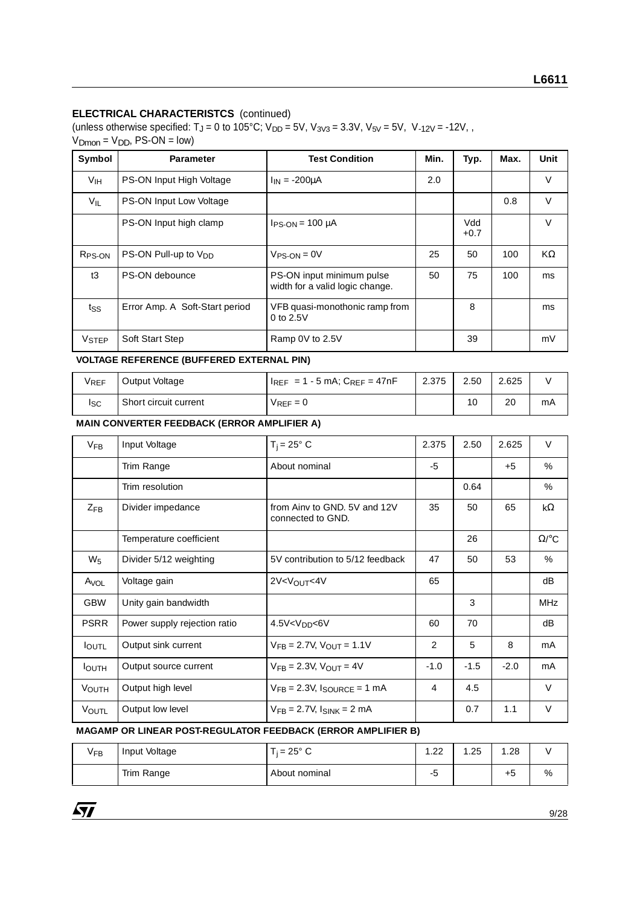(unless otherwise specified:  $T_J = 0$  to 105°C;  $V_{DD} = 5V$ ,  $V_{3V3} = 3.3V$ ,  $V_{5V} = 5V$ ,  $V_{-12V} = -12V$ ,  $V<sub>Donon</sub> = V<sub>DD</sub>, PS-ON = low$ 

| Symbol             | <b>Parameter</b>                 | <b>Test Condition</b>                                        | Min. | Typ.          | Max.   | <b>Unit</b> |
|--------------------|----------------------------------|--------------------------------------------------------------|------|---------------|--------|-------------|
| V <sub>IH</sub>    | PS-ON Input High Voltage         | 2.0                                                          |      |               | V      |             |
| $V_{IL}$           | <b>PS-ON Input Low Voltage</b>   |                                                              |      | 0.8           | $\vee$ |             |
|                    | PS-ON Input high clamp           | $I_{PS-ON}$ = 100 µA                                         |      | Vdd<br>$+0.7$ |        | $\vee$      |
| R <sub>PS-ON</sub> | PS-ON Pull-up to V <sub>DD</sub> | $V_{PS-ON} = 0V$                                             | 25   | 50            | 100    | KΩ          |
| t3                 | PS-ON debounce                   | PS-ON input minimum pulse<br>width for a valid logic change. | 50   | 75            | 100    | ms          |
| tss                | Error Amp. A Soft-Start period   | VFB quasi-monothonic ramp from<br>$0$ to $2.5V$              |      | 8             |        | ms          |
| VSTEP              | <b>Soft Start Step</b>           | Ramp 0V to 2.5V                                              |      | 39            |        | mV          |

#### **VOLTAGE REFERENCE (BUFFERED EXTERNAL PIN)**

| VREF | Output Voltage        | $H_{REF}$ = 1 - 5 mA; $C_{REF}$ = 47nF | 2.375 | 2.50 | 2.625 |    |
|------|-----------------------|----------------------------------------|-------|------|-------|----|
| Isc  | Short circuit current | $V_{REF}=0$                            |       | 10   | 20    | mA |

#### **MAIN CONVERTER FEEDBACK (ERROR AMPLIFIER A)**

| VSTEP                  | Soft Start Step                                  | Ramp 0V to 2.5V                                   |                | 39     |        | mV           |
|------------------------|--------------------------------------------------|---------------------------------------------------|----------------|--------|--------|--------------|
|                        | <b>VOLTAGE REFERENCE (BUFFERED EXTERNAL PIN)</b> |                                                   |                |        |        |              |
| <b>V<sub>REF</sub></b> | Output Voltage                                   | $I_{REF} = 1 - 5$ mA; $C_{REF} = 47$ nF           | 2.375          | 2.50   | 2.625  | $\vee$       |
| lsc.                   | Short circuit current                            | $V_{REF}=0$                                       |                | 10     | 20     | mA           |
|                        | MAIN CONVERTER FEEDBACK (ERROR AMPLIFIER A)      |                                                   |                |        |        |              |
| $V_{FB}$               | Input Voltage                                    | $T_i = 25^\circ$ C                                | 2.375          | 2.50   | 2.625  | V            |
|                        | Trim Range                                       | About nominal                                     | -5             |        | $+5$   | $\%$         |
|                        | Trim resolution                                  |                                                   |                | 0.64   |        | %            |
| $Z_{\text{FR}}$        | Divider impedance                                | from Ainy to GND, 5V and 12V<br>connected to GND. | 35             | 50     | 65     | $k\Omega$    |
|                        | Temperature coefficient                          |                                                   |                | 26     |        | $\Omega$ /°C |
| $W_5$                  | Divider 5/12 weighting                           | 5V contribution to 5/12 feedback                  | 47             | 50     | 53     | %            |
| A <sub>VOL</sub>       | Voltage gain                                     | 2V <v<sub>OUT&lt;4V</v<sub>                       | 65             |        |        | dB           |
| <b>GBW</b>             | Unity gain bandwidth                             |                                                   |                | 3      |        | <b>MHz</b>   |
| <b>PSRR</b>            | Power supply rejection ratio                     | 4.5V < V <sub>DD</sub> < 6V                       | 60             | 70     |        | dB           |
| <b>I</b> OUTL          | Output sink current                              | $V_{FB} = 2.7V$ , $V_{OUT} = 1.1V$                | 2              | 5      | 8      | mA           |
| <b>I</b> OUTH          | Output source current                            | $V_{FB} = 2.3V$ , $V_{OUT} = 4V$                  | $-1.0$         | $-1.5$ | $-2.0$ | mA           |
| <b>VOUTH</b>           | Output high level                                | $V_{FB} = 2.3V$ , $I_{SOURCE} = 1 mA$             | $\overline{4}$ | 4.5    |        | $\vee$       |
| <b>VOUTL</b>           | Output low level                                 | $V_{FB} = 2.7V$ , $I_{SINK} = 2 mA$               |                | 0.7    | 1.1    | $\vee$       |
|                        |                                                  |                                                   |                |        |        |              |

#### **MAGAMP OR LINEAR POST-REGULATOR FEEDBACK (ERROR AMPLIFIER B)**

| $\cdot$<br>VFB | Input Voltage | - 25° C<br>$=$ | ററ<br>ے . | .25 | . .28   |   |
|----------------|---------------|----------------|-----------|-----|---------|---|
|                | Trim Range    | About nominal  |           |     | $^{+5}$ | % |

 $\sqrt{M}$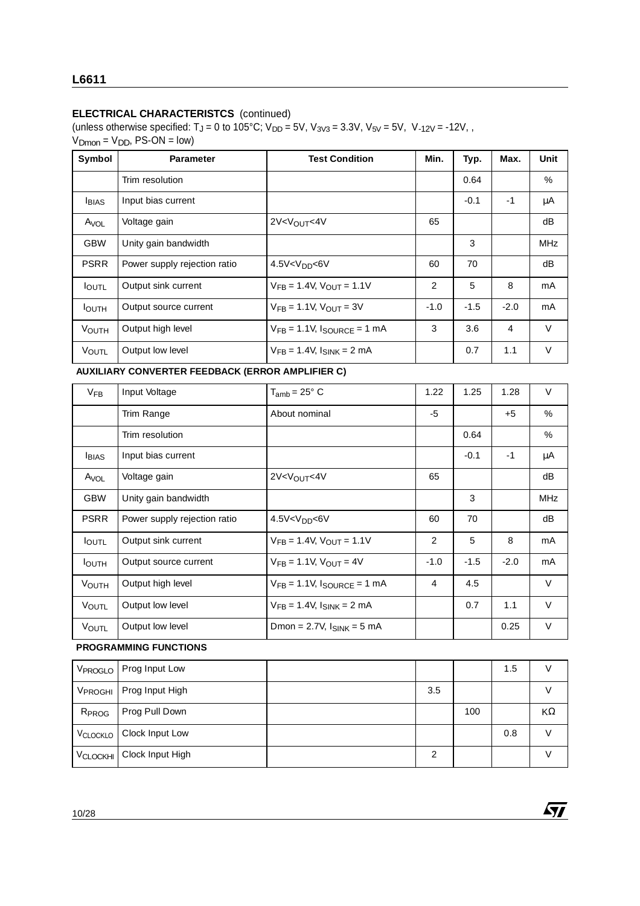(unless otherwise specified:  $T_J = 0$  to 105°C;  $V_{DD} = 5V$ ,  $V_{3V3} = 3.3V$ ,  $V_{5V} = 5V$ ,  $V_{-12V} = -12V$ ,  $V<sub>Dmon</sub> = V<sub>DD</sub>, PS-ON = low$ 

| Symbol           | <b>Parameter</b>             | <b>Test Condition</b>                  | Min.   | Typ.   | Max.   | Unit       |
|------------------|------------------------------|----------------------------------------|--------|--------|--------|------------|
|                  | Trim resolution              |                                        |        | 0.64   |        | $\%$       |
| <b>I</b> BIAS    | Input bias current           |                                        |        | $-0.1$ | -1     | μA         |
| A <sub>VOL</sub> | Voltage gain                 | $2V < V_{OII}$ T<4V                    | 65     |        |        | dB         |
| <b>GBW</b>       | Unity gain bandwidth         |                                        |        | 3      |        | <b>MHz</b> |
| <b>PSRR</b>      | Power supply rejection ratio | 4.5V <v<sub>DD&lt;6V</v<sub>           | 60     | 70     |        | dB         |
| <b>I</b> OUTL    | Output sink current          | $V_{FB} = 1.4V$ , $V_{OIII} = 1.1V$    | 2      | 5      | 8      | mA         |
| <b>I</b> OUTH    | Output source current        | $V_{FB} = 1.1V$ , $V_{OUT} = 3V$       | $-1.0$ | $-1.5$ | $-2.0$ | mA         |
| <b>VOUTH</b>     | Output high level            | $V_{FB} = 1.1 V$ , $I_{SOURCE} = 1 mA$ | 3      | 3.6    | 4      | $\vee$     |
| VOUTL            | Output low level             | $V_{FB} = 1.4V$ , $I_{SINK} = 2 mA$    |        | 0.7    | 1.1    | V          |

| <b>VOUTH</b>        | Output high level                                | $V_{FB} = 1.1V$ , $I_{SOURCE} = 1 mA$ | 3              | 3.6    | 4      | $\vee$     |
|---------------------|--------------------------------------------------|---------------------------------------|----------------|--------|--------|------------|
| VOUTL               | Output low level                                 | $V_{FB} = 1.4V$ , $I_{SINK} = 2 mA$   |                | 0.7    | 1.1    | $\vee$     |
|                     | AUXILIARY CONVERTER FEEDBACK (ERROR AMPLIFIER C) |                                       |                |        |        |            |
| $V_{FB}$            | Input Voltage                                    | $T_{amb}$ = 25 $\degree$ C            | 1.22           | 1.25   | 1.28   | $\vee$     |
|                     | Trim Range                                       | About nominal                         | -5             |        | $+5$   | $\%$       |
|                     | Trim resolution                                  |                                       |                | 0.64   |        | %          |
| <b>I</b> BIAS       | Input bias current                               |                                       |                | $-0.1$ | $-1$   | μA         |
| A <sub>VOL</sub>    | Voltage gain                                     | 2V < V <sub>OUT</sub> < 4V            | 65             |        |        | dB         |
| <b>GBW</b>          | Unity gain bandwidth                             |                                       |                | 3      |        | <b>MHz</b> |
| <b>PSRR</b>         | Power supply rejection ratio                     | 4.5V <v<sub>DD&lt;6V</v<sub>          | 60             | 70     |        | dB         |
| $I_{\text{OUTL}}$   | Output sink current                              | $V_{FB} = 1.4V$ , $V_{OUT} = 1.1V$    | 2              | 5      | 8      | mA         |
| <b>I</b> OUTH       | Output source current                            | $V_{FB} = 1.1V$ , $V_{OUT} = 4V$      | $-1.0$         | $-1.5$ | $-2.0$ | mA         |
| <b>VOUTH</b>        | Output high level                                | $V_{FB} = 1.1V$ , $I_{SOURCE} = 1 mA$ | $\overline{4}$ | 4.5    |        | $\vee$     |
| <b>VOUTL</b>        | Output low level                                 | $V_{FB} = 1.4V$ , $I_{SINK} = 2 mA$   |                | 0.7    | 1.1    | $\vee$     |
| VOUTL               | Output low level                                 | Dmon = $2.7V$ , $I_{SINK} = 5 mA$     |                |        | 0.25   | $\vee$     |
|                     | <b>PROGRAMMING FUNCTIONS</b>                     |                                       |                |        |        |            |
| V <sub>PROGLO</sub> | Prog Input Low                                   |                                       |                |        | 1.5    | V          |
|                     |                                                  |                                       |                |        |        |            |

#### **PROGRAMMING FUNCTIONS**

| V <sub>PROGLO</sub> | Prog Input Low   |     |     | 1.5 |    |
|---------------------|------------------|-----|-----|-----|----|
| V <sub>PROGHI</sub> | Prog Input High  | 3.5 |     |     |    |
| R <sub>PROG</sub>   | Prog Pull Down   |     | 100 |     | KΩ |
| VCLOCKLO            | Clock Input Low  |     |     | 0.8 |    |
| <b>VCLOCKHI</b>     | Clock Input High | っ   |     |     |    |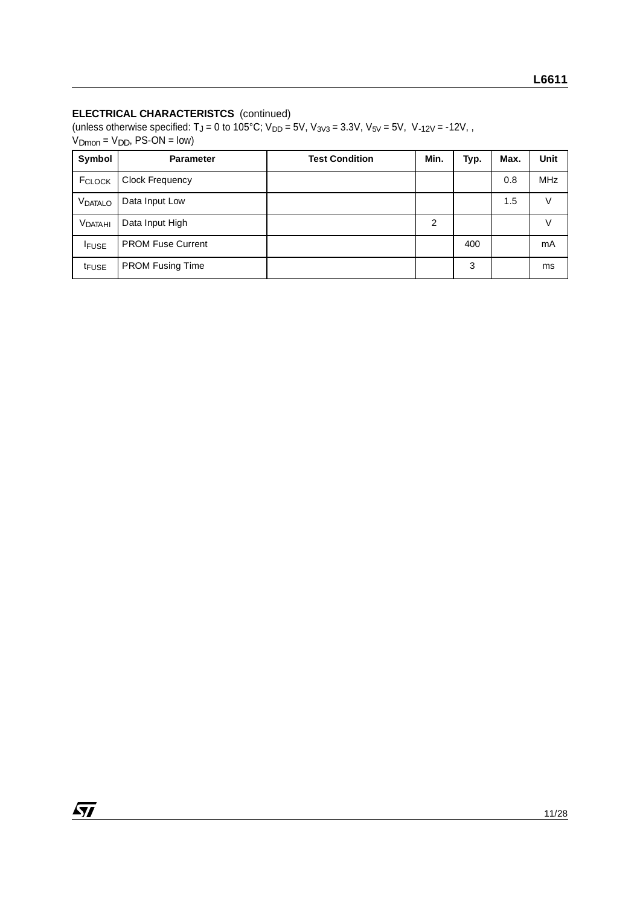(unless otherwise specified:  $T_J = 0$  to 105°C;  $V_{DD} = 5V$ ,  $V_{3V3} = 3.3V$ ,  $V_{5V} = 5V$ ,  $V_{-12V} = -12V$ ,  $V_{\text{Dmon}} = V_{\text{DD}}$ , PS-ON = low)

| Symbol            | <b>Parameter</b>         | <b>Test Condition</b> | Min. | Typ. | Max. | Unit       |
|-------------------|--------------------------|-----------------------|------|------|------|------------|
| FCLOCK            | <b>Clock Frequency</b>   |                       |      |      | 0.8  | <b>MHz</b> |
| VDATALO           | Data Input Low           |                       |      |      | 1.5  | V          |
| <b>VDATAHI</b>    | Data Input High          |                       | 2    |      |      | V          |
| <b>IFUSE</b>      | <b>PROM Fuse Current</b> |                       |      | 400  |      | mA         |
| t <sub>FUSE</sub> | <b>PROM Fusing Time</b>  |                       |      | 3    |      | ms         |

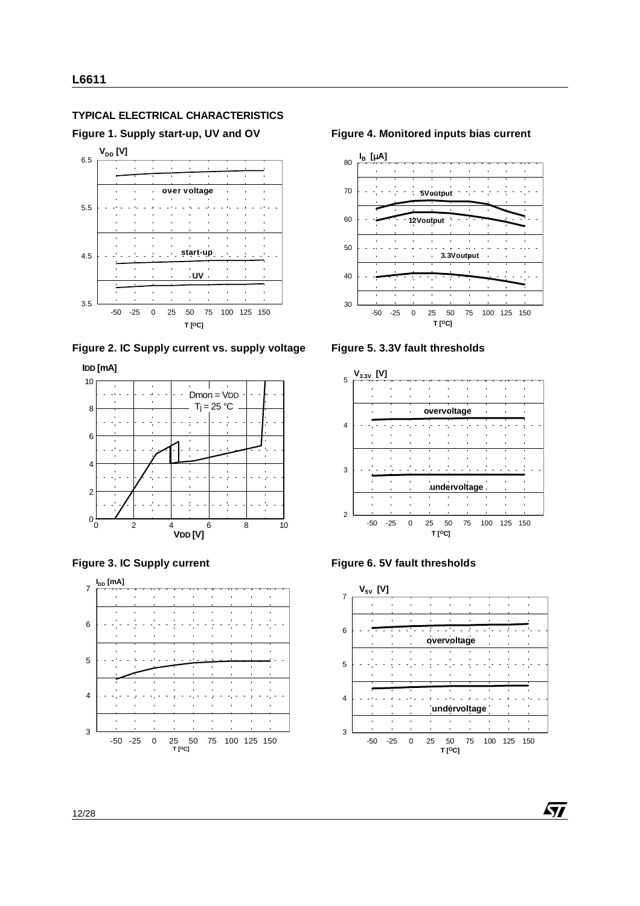#### **TYPICAL ELECTRICAL CHARACTERISTICS**

**Figure 1. Supply start-up, UV and OV**



**Figure 2. IC Supply current vs. supply voltage**







#### **Figure 4. Monitored inputs bias current**



**Figure 5. 3.3V fault thresholds**







 $\sqrt{27}$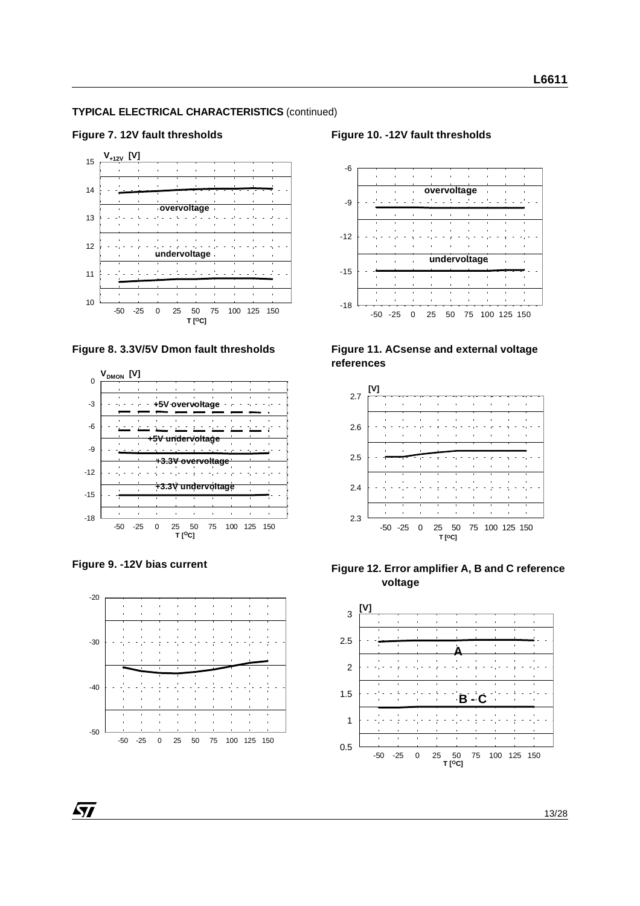#### **TYPICAL ELECTRICAL CHARACTERISTICS** (continued)





**Figure 8. 3.3V/5V Dmon fault thresholds**





 $\sqrt{1}$ 



#### **Figure 10. -12V fault thresholds**



#### **Figure 11. ACsense and external voltage references**







13/28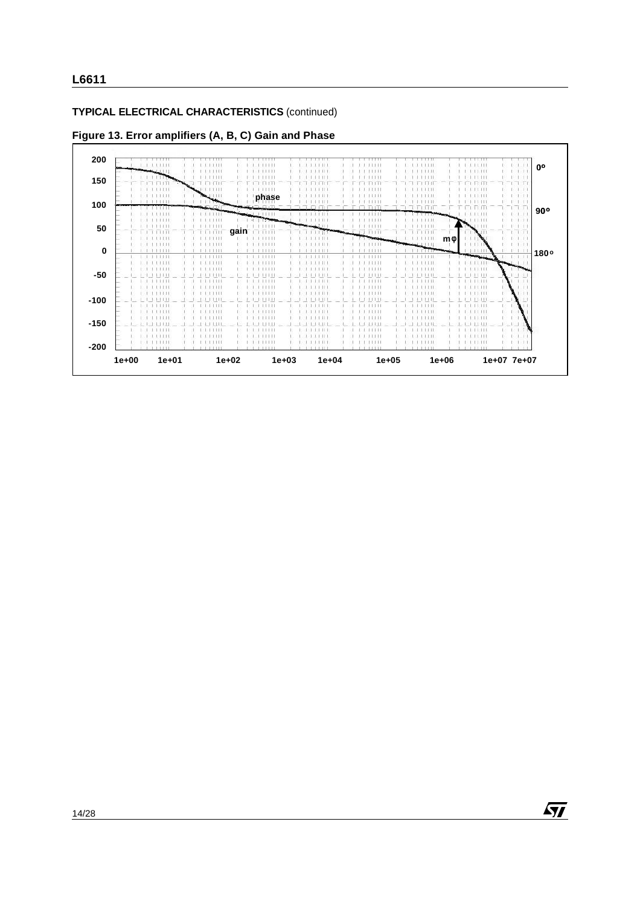#### **L6611**

#### **TYPICAL ELECTRICAL CHARACTERISTICS** (continued)

**Figure 13. Error amplifiers (A, B, C) Gain and Phase**



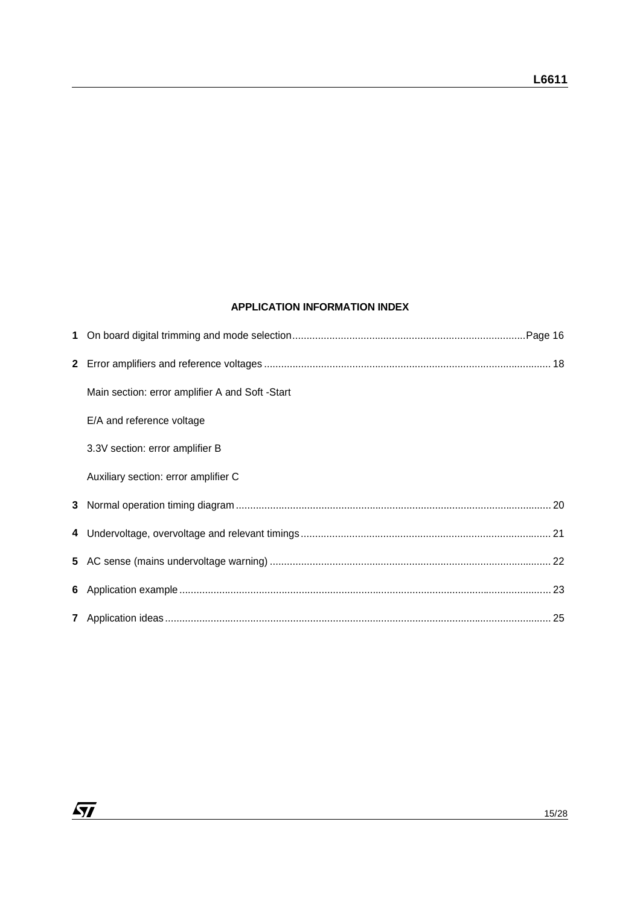#### **APPLICATION INFORMATION INDEX**

| 1            |                                                 |  |
|--------------|-------------------------------------------------|--|
| $\mathbf{2}$ |                                                 |  |
|              | Main section: error amplifier A and Soft -Start |  |
|              | E/A and reference voltage                       |  |
|              | 3.3V section: error amplifier B                 |  |
|              | Auxiliary section: error amplifier C            |  |
| 3            |                                                 |  |
| 4            |                                                 |  |
| 5            |                                                 |  |
| 6            |                                                 |  |
|              |                                                 |  |
|              |                                                 |  |
|              |                                                 |  |

 $\sqrt{27}$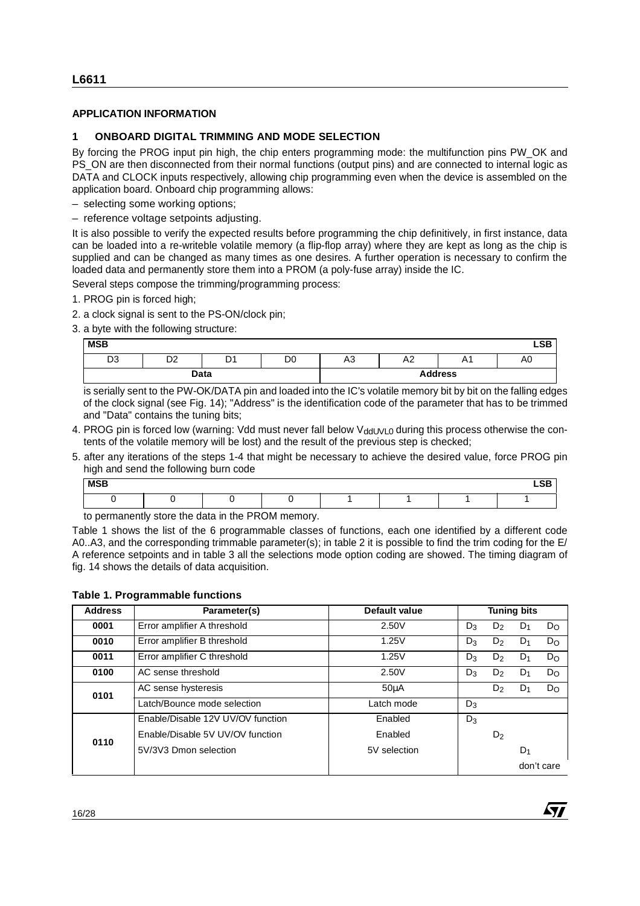#### **APPLICATION INFORMATION**

#### **1 ONBOARD DIGITAL TRIMMING AND MODE SELECTION**

By forcing the PROG input pin high, the chip enters programming mode: the multifunction pins PW\_OK and PS\_ON are then disconnected from their normal functions (output pins) and are connected to internal logic as DATA and CLOCK inputs respectively, allowing chip programming even when the device is assembled on the application board. Onboard chip programming allows:

– selecting some working options;

– reference voltage setpoints adjusting.

It is also possible to verify the expected results before programming the chip definitively, in first instance, data can be loaded into a re-writeble volatile memory (a flip-flop array) where they are kept as long as the chip is supplied and can be changed as many times as one desires. A further operation is necessary to confirm the loaded data and permanently store them into a PROM (a poly-fuse array) inside the IC.

Several steps compose the trimming/programming process:

- 1. PROG pin is forced high;
- 2. a clock signal is sent to the PS-ON/clock pin;
- 3. a byte with the following structure:

| <b>MSB</b>     |           |                            |                |    |    |                | <b>LSB</b> |
|----------------|-----------|----------------------------|----------------|----|----|----------------|------------|
| D <sub>3</sub> | no.<br>◡▵ | D <sub>4</sub><br><u>.</u> | D <sub>0</sub> | A3 | A2 | A1             | A0         |
|                |           | Data                       |                |    |    | <b>Address</b> |            |

- 4. PROG pin is forced low (warning: Vdd must never fall below  $V_{ddUVLO}$  during this process otherwise the contents of the volatile memory will be lost) and the result of the previous step is checked;
- 5. after any iterations of the steps 1-4 that might be necessary to achieve the desired value, force PROG pin high and send the following burn code

| <b>MSB</b> |  |  |  | <b>LSB</b> |
|------------|--|--|--|------------|
|            |  |  |  |            |

| <b>MSB</b>     |                                                                                                                                                                                                                                                                                                                                                                                                                                                       |                |                |              |                      |                |                |                    | <b>LSB</b> |
|----------------|-------------------------------------------------------------------------------------------------------------------------------------------------------------------------------------------------------------------------------------------------------------------------------------------------------------------------------------------------------------------------------------------------------------------------------------------------------|----------------|----------------|--------------|----------------------|----------------|----------------|--------------------|------------|
| D <sub>3</sub> | D <sub>2</sub>                                                                                                                                                                                                                                                                                                                                                                                                                                        | D <sub>1</sub> | D <sub>0</sub> | A3           | A2                   | A <sub>1</sub> |                | A <sub>0</sub>     |            |
|                | Data                                                                                                                                                                                                                                                                                                                                                                                                                                                  |                |                |              |                      | <b>Address</b> |                |                    |            |
|                | is serially sent to the PW-OK/DATA pin and loaded into the IC's volatile memory bit by bit on the falling edges<br>of the clock signal (see Fig. 14); "Address" is the identification code of the parameter that has to be trimmed<br>and "Data" contains the tuning bits;                                                                                                                                                                            |                |                |              |                      |                |                |                    |            |
|                | 4. PROG pin is forced low (warning: Vdd must never fall below V <sub>ddUVL0</sub> during this process otherwise the con-<br>tents of the volatile memory will be lost) and the result of the previous step is checked;                                                                                                                                                                                                                                |                |                |              |                      |                |                |                    |            |
|                | 5. after any iterations of the steps 1-4 that might be necessary to achieve the desired value, force PROG pin<br>high and send the following burn code                                                                                                                                                                                                                                                                                                |                |                |              |                      |                |                |                    |            |
| <b>MSB</b>     |                                                                                                                                                                                                                                                                                                                                                                                                                                                       |                |                |              |                      |                |                |                    | <b>LSB</b> |
| $\Omega$       | 0                                                                                                                                                                                                                                                                                                                                                                                                                                                     | $\Omega$       | $\mathbf 0$    | $\mathbf{1}$ | 1                    | 1              |                | 1                  |            |
|                | to permanently store the data in the PROM memory.<br>Table 1 shows the list of the 6 programmable classes of functions, each one identified by a different code<br>A0A3, and the corresponding trimmable parameter(s); in table 2 it is possible to find the trim coding for the E/<br>A reference setpoints and in table 3 all the selections mode option coding are showed. The timing diagram of<br>fig. 14 shows the details of data acquisition. |                |                |              |                      |                |                |                    |            |
|                | <b>Table 1. Programmable functions</b>                                                                                                                                                                                                                                                                                                                                                                                                                |                |                |              |                      |                |                |                    |            |
| <b>Address</b> |                                                                                                                                                                                                                                                                                                                                                                                                                                                       | Parameter(s)   |                |              | <b>Default value</b> |                |                | <b>Tuning bits</b> |            |
| 0001           | Error amplifier A threshold                                                                                                                                                                                                                                                                                                                                                                                                                           |                |                |              | 2.50V                | $D_3$          | D <sub>2</sub> | $D_1$              |            |
| 0010           | Error amplifier B threshold                                                                                                                                                                                                                                                                                                                                                                                                                           |                |                |              | 1.25V                | $D_3$          | D <sub>2</sub> | $D_1$              |            |
| 0011           | Error amplifier C threshold                                                                                                                                                                                                                                                                                                                                                                                                                           |                |                |              | 1.25V                | $D_3$          | D <sub>2</sub> | $D_1$              |            |
| 0100           | AC sense threshold                                                                                                                                                                                                                                                                                                                                                                                                                                    |                |                |              | 2.50V                | $D_3$          | D <sub>2</sub> | $D_1$              |            |
|                | AC sense hysteresis                                                                                                                                                                                                                                                                                                                                                                                                                                   |                |                |              | $50\mu A$            |                | $D_2$          | $D_1$              |            |
| 0101           | Latch/Bounce mode selection                                                                                                                                                                                                                                                                                                                                                                                                                           |                |                |              | Latch mode           | $D_3$          |                |                    |            |
|                | Enable/Disable 12V UV/OV function                                                                                                                                                                                                                                                                                                                                                                                                                     |                |                |              | Enabled              | $D_3$          |                |                    |            |
| 0110           | Enable/Disable 5V UV/OV function                                                                                                                                                                                                                                                                                                                                                                                                                      |                |                |              | Enabled              |                | $D_2$          |                    |            |

**Ayj**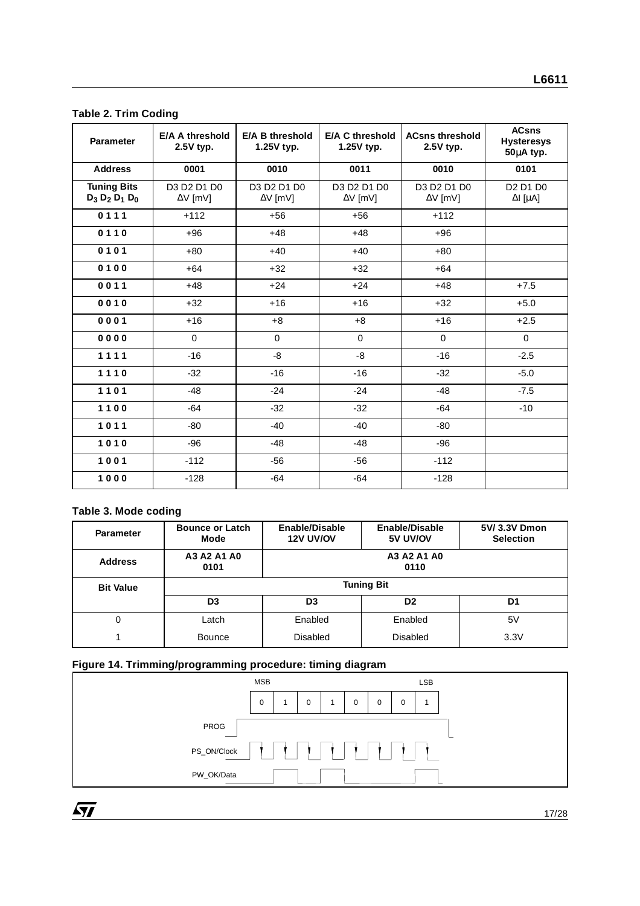#### **Table 2. Trim Coding**

| <b>Parameter</b>                         | <b>E/A A threshold</b><br>2.5V typ.                  | E/A B threshold<br>1.25V typ.      | <b>ACsns threshold</b><br><b>E/A C threshold</b><br>1.25V typ.<br>$2.5V$ typ. |                                           | <b>ACsns</b><br><b>Hysteresys</b><br>50µA typ.                        |  |  |
|------------------------------------------|------------------------------------------------------|------------------------------------|-------------------------------------------------------------------------------|-------------------------------------------|-----------------------------------------------------------------------|--|--|
| <b>Address</b>                           | 0001                                                 | 0010                               | 0011                                                                          | 0010                                      | 0101                                                                  |  |  |
| <b>Tuning Bits</b><br>$D_3 D_2 D_1 D_0$  | D3 D2 D1 D0<br>$\Delta V$ [mV]                       | D3 D2 D1 D0<br>$\Delta V$ [mV]     | D3 D2 D1 D0<br>$\Delta V$ [mV]                                                | D3 D2 D1 D0<br>$\Delta V$ [mV]            | D <sub>2</sub> D <sub>1</sub> D <sub>0</sub><br>$\Delta I$ [ $\mu$ A] |  |  |
| 0111                                     | $+112$                                               | $+56$                              | +56                                                                           | $+112$                                    |                                                                       |  |  |
| 0110                                     | $+96$                                                | $+48$                              | $+48$                                                                         | $+96$                                     |                                                                       |  |  |
| 0101                                     | $+80$                                                | $+40$                              | $+40$                                                                         | $+80$                                     |                                                                       |  |  |
| 0100                                     | $+64$                                                | $+32$                              | $+32$                                                                         | $+64$                                     |                                                                       |  |  |
| 0011                                     | $+48$                                                | $+24$                              | $+24$                                                                         | $+48$                                     | $+7.5$                                                                |  |  |
| 0010                                     | $+32$                                                | $+16$                              | $+16$                                                                         | $+32$                                     | $+5.0$                                                                |  |  |
| 0001                                     | $+16$                                                | $+8$                               | $+8$                                                                          | $+16$                                     | $+2.5$                                                                |  |  |
| 0000                                     | 0                                                    | $\mathbf 0$                        | 0                                                                             | $\mathbf 0$                               | $\mathbf 0$                                                           |  |  |
| 1111                                     | $-16$                                                | -8                                 | -8                                                                            | $-16$                                     | $-2.5$                                                                |  |  |
| 1110                                     | $-32$                                                | $-16$                              | $-16$                                                                         | $-32$                                     | $-5.0$                                                                |  |  |
| 1101                                     | $-48$                                                | $-24$                              | $-24$                                                                         | $-48$                                     | $-7.5$                                                                |  |  |
| 1100                                     | $-64$                                                | $-32$                              | $-32$                                                                         | $-64$                                     | $-10$                                                                 |  |  |
| 1011                                     | $-80$                                                | $-40$                              | $-40$                                                                         | -80                                       |                                                                       |  |  |
| 1010                                     | $-96$                                                | $-48$                              | $-48$                                                                         | -96                                       |                                                                       |  |  |
| 1001                                     | $-112$                                               | -56                                | -56                                                                           | $-112$                                    |                                                                       |  |  |
| 1000                                     | $-128$                                               | $-64$                              | $-64$                                                                         | $-128$                                    |                                                                       |  |  |
| Table 3. Mode coding<br><b>Parameter</b> | <b>Bounce or Latch</b><br><b>Mode</b><br>A3 A2 A1 A0 | Enable/Disable<br><b>12V UV/OV</b> |                                                                               | Enable/Disable<br>5V UV/OV<br>A3 A2 A1 A0 | 5V/3.3V Dmon<br><b>Selection</b>                                      |  |  |
| <b>Address</b>                           | 0101<br>0110                                         |                                    |                                                                               |                                           |                                                                       |  |  |
| <b>Bit Value</b>                         |                                                      |                                    | <b>Tuning Bit</b>                                                             |                                           |                                                                       |  |  |
|                                          | D <sub>3</sub>                                       | D <sub>3</sub>                     |                                                                               | D <sub>2</sub>                            | D <sub>1</sub>                                                        |  |  |
| 0                                        | Latch                                                | Enabled                            |                                                                               | Enabled                                   | 5V<br>3.3V                                                            |  |  |
| $\mathbf{1}$                             | <b>Bounce</b>                                        |                                    | <b>Disabled</b><br><b>Disabled</b>                                            |                                           |                                                                       |  |  |

#### **Table 3. Mode coding**

| <b>Parameter</b> | <b>Bounce or Latch</b><br>Mode | Enable/Disable<br><b>12V UV/OV</b> | Enable/Disable<br>5V UV/OV | 5V/3.3V Dmon<br><b>Selection</b> |
|------------------|--------------------------------|------------------------------------|----------------------------|----------------------------------|
| <b>Address</b>   | A3 A2 A1 A0<br>0101            |                                    | A3 A2 A1 A0<br>0110        |                                  |
| <b>Bit Value</b> |                                |                                    | <b>Tuning Bit</b>          |                                  |
|                  | D <sub>3</sub>                 | D <sub>3</sub>                     | D <sub>2</sub>             | D <sub>1</sub>                   |
| 0                | Latch                          | Enabled                            | Enabled                    | 5٧                               |
|                  | Bounce                         | Disabled                           | <b>Disabled</b>            | 3.3V                             |

### **Figure 14. Trimming/programming procedure: timing diagram**



17/28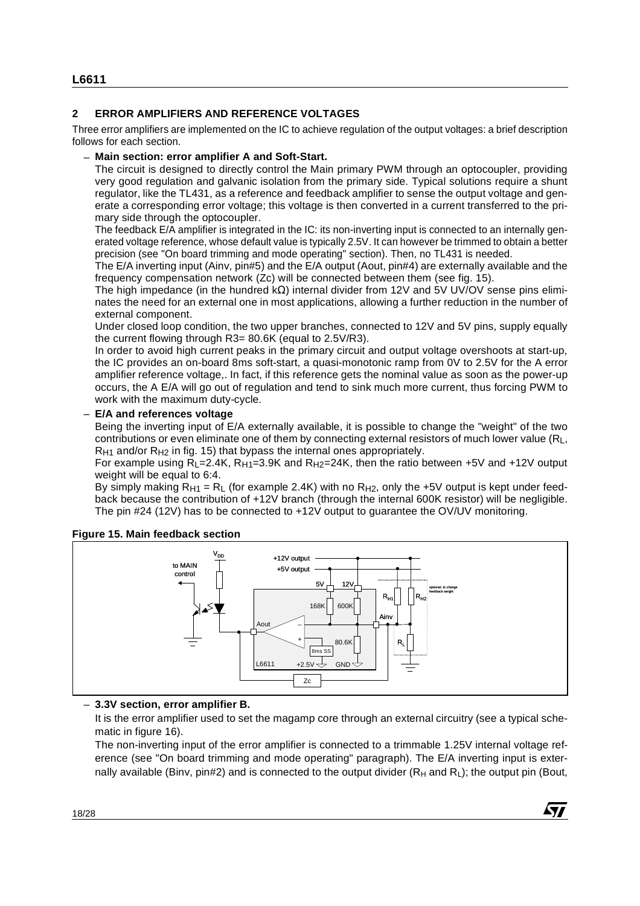#### **2 ERROR AMPLIFIERS AND REFERENCE VOLTAGES**

Three error amplifiers are implemented on the IC to achieve regulation of the output voltages: a brief description follows for each section.

#### – **Main section: error amplifier A and Soft-Start.**

The circuit is designed to directly control the Main primary PWM through an optocoupler, providing very good regulation and galvanic isolation from the primary side. Typical solutions require a shunt regulator, like the TL431, as a reference and feedback amplifier to sense the output voltage and generate a corresponding error voltage; this voltage is then converted in a current transferred to the primary side through the optocoupler.

The feedback E/A amplifier is integrated in the IC: its non-inverting input is connected to an internally generated voltage reference, whose default value is typically 2.5V. It can however be trimmed to obtain a better precision (see "On board trimming and mode operating" section). Then, no TL431 is needed.

The E/A inverting input (Ainv, pin#5) and the E/A output (Aout, pin#4) are externally available and the frequency compensation network (Zc) will be connected between them (see fig. 15).

The high impedance (in the hundred kΩ) internal divider from 12V and 5V UV/OV sense pins eliminates the need for an external one in most applications, allowing a further reduction in the number of external component.

Under closed loop condition, the two upper branches, connected to 12V and 5V pins, supply equally the current flowing through R3= 80.6K (equal to 2.5V/R3).

In order to avoid high current peaks in the primary circuit and output voltage overshoots at start-up, the IC provides an on-board 8ms soft-start, a quasi-monotonic ramp from 0V to 2.5V for the A error amplifier reference voltage,. In fact, if this reference gets the nominal value as soon as the power-up occurs, the A E/A will go out of regulation and tend to sink much more current, thus forcing PWM to work with the maximum duty-cycle.

#### – **E/A and references voltage**

Being the inverting input of E/A externally available, it is possible to change the "weight" of the two contributions or even eliminate one of them by connecting external resistors of much lower value  $(R<sub>L</sub>,$  $R_{H1}$  and/or  $R_{H2}$  in fig. 15) that bypass the internal ones appropriately.

For example using  $R_L$ =2.4K,  $R_{H1}$ =3.9K and  $R_{H2}$ =24K, then the ratio between +5V and +12V output weight will be equal to 6:4.

By simply making  $R_{H1} = R_L$  (for example 2.4K) with no  $R_{H2}$ , only the +5V output is kept under feedback because the contribution of +12V branch (through the internal 600K resistor) will be negligible. The pin #24 (12V) has to be connected to +12V output to guarantee the OV/UV monitoring.

### Under closed loop condition, the two upper branches, connected to 12V and 5V pins, supply equal<br>the current flowing through R3= 80 6K (equal to 2.5V/R3).<br>In order to avoid high current peaks in the primary circuit and out V<sub>DD</sub> to MAIN control  $\overline{z}$ c Aout  $5V \perp 12V$ L6611 +2.5V  $\leftrightarrow$  GND  $168K$  600K 80.6K 8ms SS \_ + +12V output +5V output Ainv  $\mathsf{R}_{\mathsf{L}}$  $\mathsf{R}_{\mathsf{H1}}$   $\vert\,\,\,\vert\,\,\,\vert\,\,\mathsf{R}_{\mathsf{H2}}$ optional, to change feedback weight

#### **Figure 15. Main feedback section**

– **3.3V section, error amplifier B.**

It is the error amplifier used to set the magamp core through an external circuitry (see a typical schematic in figure 16).

The non-inverting input of the error amplifier is connected to a trimmable 1.25V internal voltage reference (see "On board trimming and mode operating" paragraph). The E/A inverting input is externally available (Binv, pin#2) and is connected to the output divider  $(R_H$  and R<sub>L</sub>); the output pin (Bout,

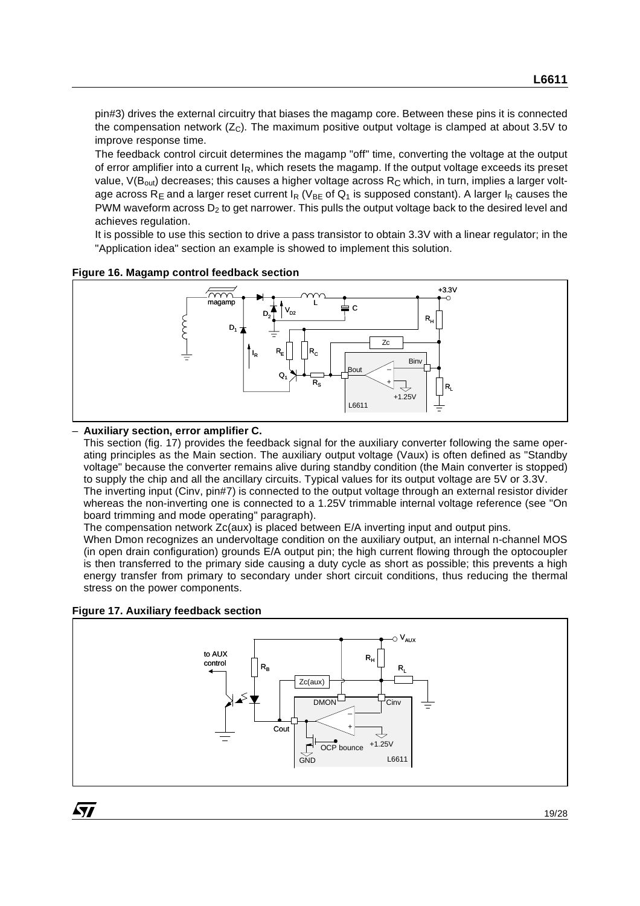pin#3) drives the external circuitry that biases the magamp core. Between these pins it is connected the compensation network  $(Z<sub>C</sub>)$ . The maximum positive output voltage is clamped at about 3.5V to improve response time.

The feedback control circuit determines the magamp "off" time, converting the voltage at the output of error amplifier into a current IR, which resets the magamp. If the output voltage exceeds its preset value,  $V(B_{out})$  decreases; this causes a higher voltage across  $R_C$  which, in turn, implies a larger voltage across R<sub>F</sub> and a larger reset current  $I_R$  (V<sub>BE</sub> of Q<sub>1</sub> is supposed constant). A larger  $I_R$  causes the PWM waveform across  $D_2$  to get narrower. This pulls the output voltage back to the desired level and achieves regulation.

It is possible to use this section to drive a pass transistor to obtain 3.3V with a linear regulator; in the "Application idea" section an example is showed to implement this solution.

**Figure 16. Magamp control feedback section**



#### – **Auxiliary section, error amplifier C.**

This section (fig. 17) provides the feedback signal for the auxiliary converter following the same operating principles as the Main section. The auxiliary output voltage (Vaux) is often defined as "Standby voltage" because the converter remains alive during standby condition (the Main converter is stopped) to supply the chip and all the ancillary circuits. Typical values for its output voltage are 5V or 3.3V. The inverting input (Cinv, pin#7) is connected to the output voltage through an external resistor divider whereas the non-inverting one is connected to a 1.25V trimmable internal voltage reference (see "On board trimming and mode operating" paragraph).

The compensation network Zc(aux) is placed between E/A inverting input and output pins.

When Dmon recognizes an undervoltage condition on the auxiliary output, an internal n-channel MOS (in open drain configuration) grounds E/A output pin; the high current flowing through the optocoupler is then transferred to the primary side causing a duty cycle as short as possible; this prevents a high energy transfer from primary to secondary under short circuit conditions, thus reducing the thermal stress on the power components.

#### **Figure 17. Auxiliary feedback section**



ki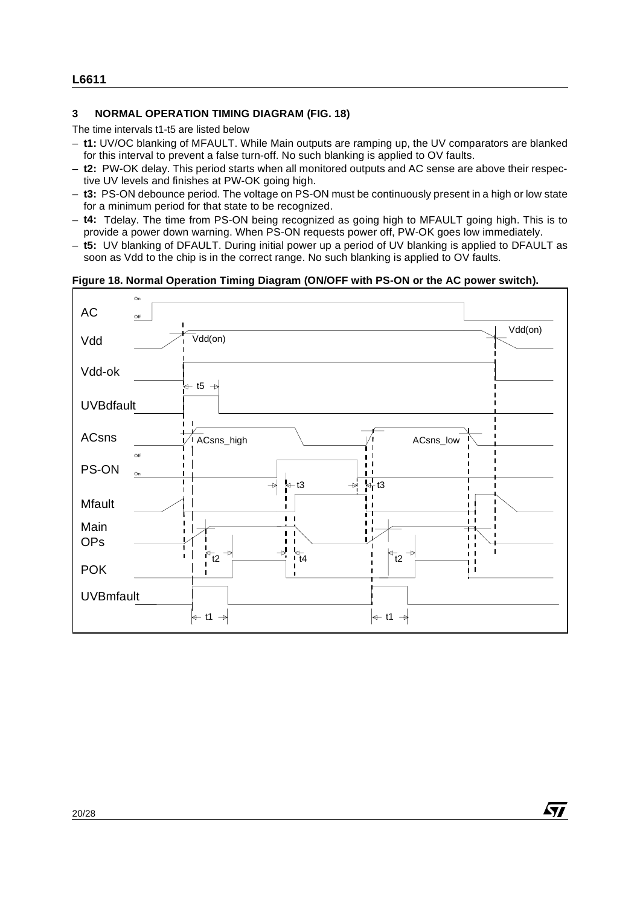#### **3 NORMAL OPERATION TIMING DIAGRAM (FIG. 18)**

The time intervals t1-t5 are listed below

- **t1:** UV/OC blanking of MFAULT. While Main outputs are ramping up, the UV comparators are blanked for this interval to prevent a false turn-off. No such blanking is applied to OV faults.
- **t2:** PW-OK delay. This period starts when all monitored outputs and AC sense are above their respective UV levels and finishes at PW-OK going high.
- **t3:** PS-ON debounce period. The voltage on PS-ON must be continuously present in a high or low state for a minimum period for that state to be recognized.
- **t4:** Tdelay. The time from PS-ON being recognized as going high to MFAULT going high. This is to provide a power down warning. When PS-ON requests power off, PW-OK goes low immediately.
- **t5:** UV blanking of DFAULT. During initial power up a period of UV blanking is applied to DFAULT as soon as Vdd to the chip is in the correct range. No such blanking is applied to OV faults.

#### **Figure 18. Normal Operation Timing Diagram (ON/OFF with PS-ON or the AC power switch).**



57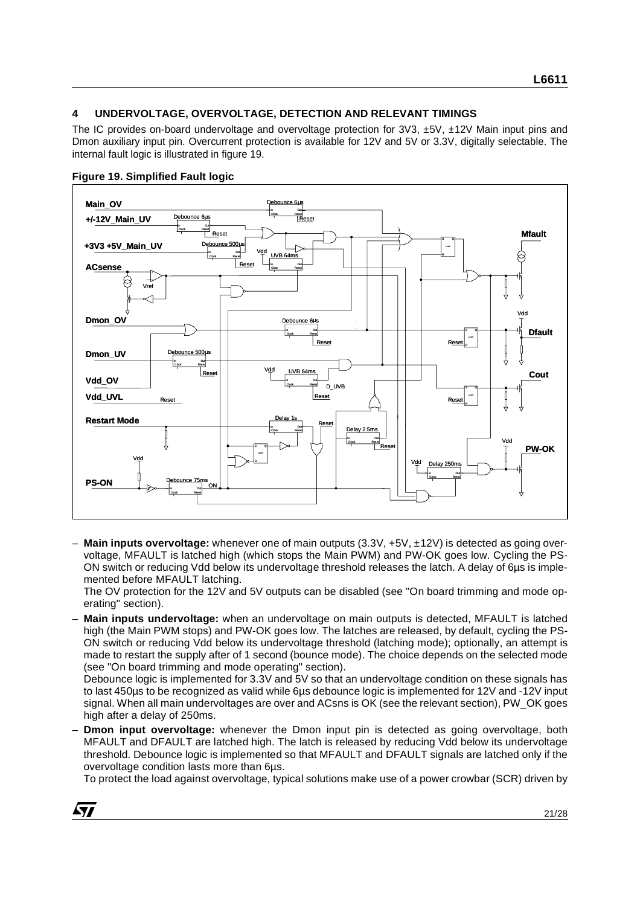#### **4 UNDERVOLTAGE, OVERVOLTAGE, DETECTION AND RELEVANT TIMINGS**

The IC provides on-board undervoltage and overvoltage protection for 3V3, ±5V, ±12V Main input pins and Dmon auxiliary input pin. Overcurrent protection is available for 12V and 5V or 3.3V, digitally selectable. The internal fault logic is illustrated in figure 19.



#### **Figure 19. Simplified Fault logic**

**A77** 

– **Main inputs overvoltage:** whenever one of main outputs (3.3V, +5V, ±12V) is detected as going overvoltage, MFAULT is latched high (which stops the Main PWM) and PW-OK goes low. Cycling the PS-ON switch or reducing Vdd below its undervoltage threshold releases the latch. A delay of 6µs is implemented before MFAULT latching.

The OV protection for the 12V and 5V outputs can be disabled (see "On board trimming and mode operating" section).

– **Main inputs undervoltage:** when an undervoltage on main outputs is detected, MFAULT is latched high (the Main PWM stops) and PW-OK goes low. The latches are released, by default, cycling the PS-ON switch or reducing Vdd below its undervoltage threshold (latching mode); optionally, an attempt is made to restart the supply after of 1 second (bounce mode). The choice depends on the selected mode (see "On board trimming and mode operating" section).

Debounce logic is implemented for 3.3V and 5V so that an undervoltage condition on these signals has to last 450µs to be recognized as valid while 6µs debounce logic is implemented for 12V and -12V input signal. When all main undervoltages are over and ACsns is OK (see the relevant section), PW\_OK goes high after a delay of 250ms.

– **Dmon input overvoltage:** whenever the Dmon input pin is detected as going overvoltage, both MFAULT and DFAULT are latched high. The latch is released by reducing Vdd below its undervoltage threshold. Debounce logic is implemented so that MFAULT and DFAULT signals are latched only if the overvoltage condition lasts more than 6µs.

To protect the load against overvoltage, typical solutions make use of a power crowbar (SCR) driven by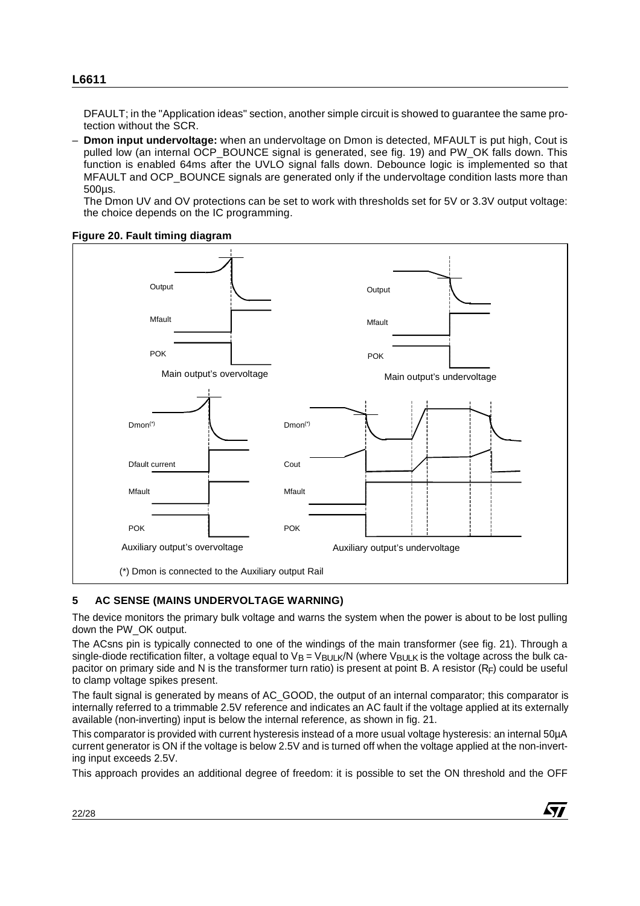DFAULT; in the "Application ideas" section, another simple circuit is showed to guarantee the same protection without the SCR.

– **Dmon input undervoltage:** when an undervoltage on Dmon is detected, MFAULT is put high, Cout is pulled low (an internal OCP\_BOUNCE signal is generated, see fig. 19) and PW\_OK falls down. This function is enabled 64ms after the UVLO signal falls down. Debounce logic is implemented so that MFAULT and OCP\_BOUNCE signals are generated only if the undervoltage condition lasts more than 500µs.

The Dmon UV and OV protections can be set to work with thresholds set for 5V or 3.3V output voltage: the choice depends on the IC programming.





#### **5 AC SENSE (MAINS UNDERVOLTAGE WARNING)**

The device monitors the primary bulk voltage and warns the system when the power is about to be lost pulling down the PW\_OK output.

The ACsns pin is typically connected to one of the windings of the main transformer (see fig. 21). Through a single-diode rectification filter, a voltage equal to  $V_B = V_{BULK}/N$  (where  $V_{BULK}$  is the voltage across the bulk capacitor on primary side and N is the transformer turn ratio) is present at point B. A resistor  $(R_F)$  could be useful to clamp voltage spikes present.

The fault signal is generated by means of AC\_GOOD, the output of an internal comparator; this comparator is internally referred to a trimmable 2.5V reference and indicates an AC fault if the voltage applied at its externally available (non-inverting) input is below the internal reference, as shown in fig. 21.

This comparator is provided with current hysteresis instead of a more usual voltage hysteresis: an internal 50µA current generator is ON if the voltage is below 2.5V and is turned off when the voltage applied at the non-inverting input exceeds 2.5V.

This approach provides an additional degree of freedom: it is possible to set the ON threshold and the OFF

$$
\sqrt{M}
$$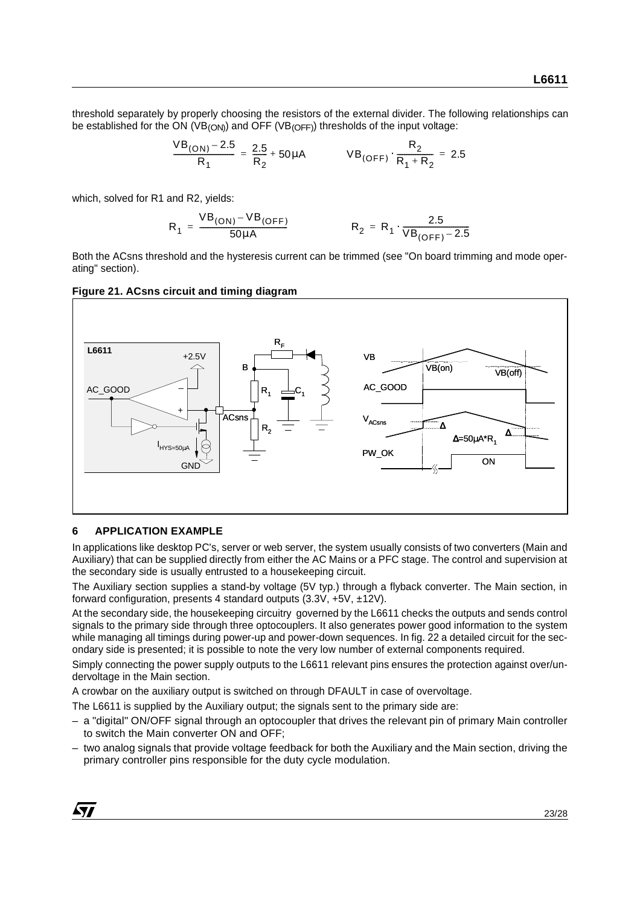threshold separately by properly choosing the resistors of the external divider. The following relationships can be established for the ON (VB<sub>(ON)</sub>) and OFF (VB<sub>(OFF)</sub>) thresholds of the input voltage:

$$
\frac{VB_{(ON)} - 2.5}{R_1} = \frac{2.5}{R_2} + 50 \mu A
$$
  $VB_{(OFF)} \cdot \frac{R_2}{R_1 + R_2} = 2.5$ 

which, solved for R1 and R2, yields:

$$
R_1 = \frac{VB_{(ON)} - VB_{(OFF)}}{50 \mu A} \qquad R_2 = R_1 \cdot \frac{2.5}{VB_{(OFF)} - 2.5}
$$

Both the ACsns threshold and the hysteresis current can be trimmed (see "On board trimming and mode operating" section).





#### **6 APPLICATION EXAMPLE**

In applications like desktop PC's, server or web server, the system usually consists of two converters (Main and Auxiliary) that can be supplied directly from either the AC Mains or a PFC stage. The control and supervision at the secondary side is usually entrusted to a housekeeping circuit.

The Auxiliary section supplies a stand-by voltage (5V typ.) through a flyback converter. The Main section, in forward configuration, presents 4 standard outputs (3.3V, +5V, ±12V).

At the secondary side, the housekeeping circuitry governed by the L6611 checks the outputs and sends control signals to the primary side through three optocouplers. It also generates power good information to the system while managing all timings during power-up and power-down sequences. In fig. 22 a detailed circuit for the secondary side is presented; it is possible to note the very low number of external components required.

Simply connecting the power supply outputs to the L6611 relevant pins ensures the protection against over/undervoltage in the Main section.

A crowbar on the auxiliary output is switched on through DFAULT in case of overvoltage.

The L6611 is supplied by the Auxiliary output; the signals sent to the primary side are:

- a "digital" ON/OFF signal through an optocoupler that drives the relevant pin of primary Main controller to switch the Main converter ON and OFF;
- two analog signals that provide voltage feedback for both the Auxiliary and the Main section, driving the primary controller pins responsible for the duty cycle modulation.

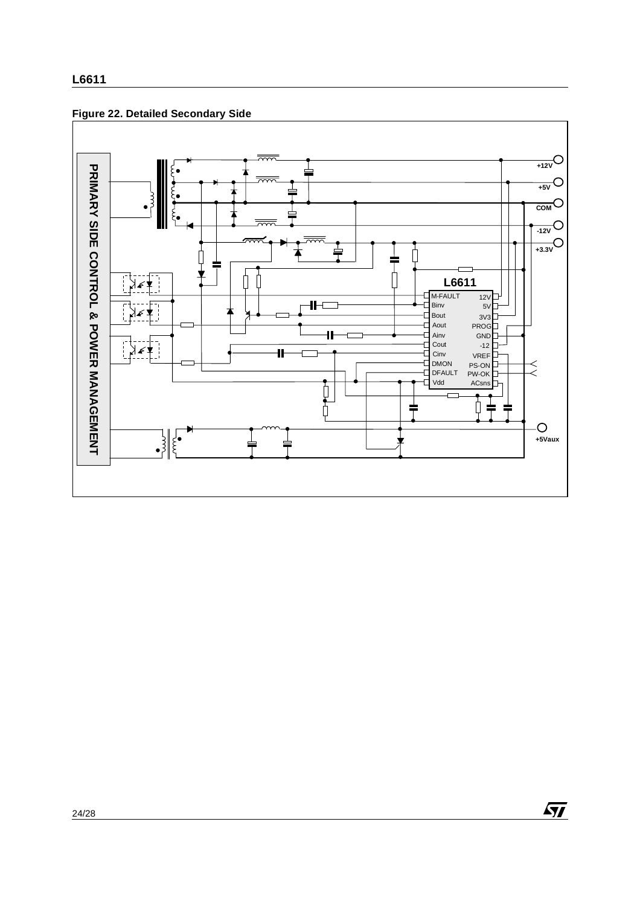



 $\sqrt{M}$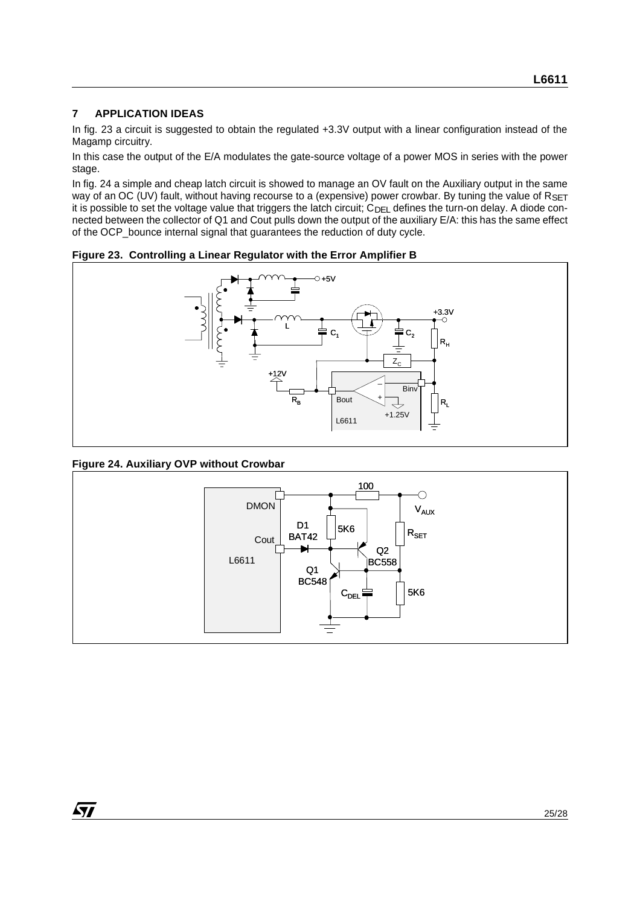#### **7 APPLICATION IDEAS**

In fig. 23 a circuit is suggested to obtain the regulated +3.3V output with a linear configuration instead of the Magamp circuitry.

In this case the output of the E/A modulates the gate-source voltage of a power MOS in series with the power stage.

In fig. 24 a simple and cheap latch circuit is showed to manage an OV fault on the Auxiliary output in the same way of an OC (UV) fault, without having recourse to a (expensive) power crowbar. By tuning the value of RSET it is possible to set the voltage value that triggers the latch circuit;  $C_{DE}$  defines the turn-on delay. A diode connected between the collector of Q1 and Cout pulls down the output of the auxiliary E/A: this has the same effect of the OCP\_bounce internal signal that guarantees the reduction of duty cycle.

**Figure 23. Controlling a Linear Regulator with the Error Amplifier B**



#### **Figure 24. Auxiliary OVP without Crowbar**

ST

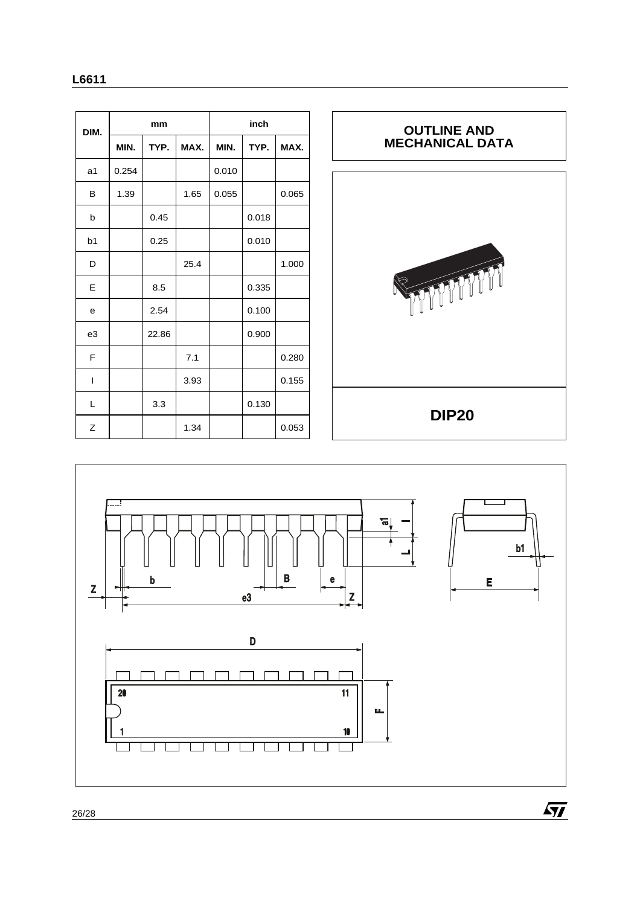| ×<br>۰.<br>٠<br>× |
|-------------------|
|-------------------|

| DIM.           | mm    |       |      | inch  |       |       |  |
|----------------|-------|-------|------|-------|-------|-------|--|
|                | MIN.  | TYP.  | MAX. | MIN.  | TYP.  | MAX.  |  |
| a <sub>1</sub> | 0.254 |       |      | 0.010 |       |       |  |
| в              | 1.39  |       | 1.65 | 0.055 |       | 0.065 |  |
| b              |       | 0.45  |      |       | 0.018 |       |  |
| b <sub>1</sub> |       | 0.25  |      |       | 0.010 |       |  |
| D              |       |       | 25.4 |       |       | 1.000 |  |
| E              |       | 8.5   |      |       | 0.335 |       |  |
| e              |       | 2.54  |      |       | 0.100 |       |  |
| e3             |       | 22.86 |      |       | 0.900 |       |  |
| F              |       |       | 7.1  |       |       | 0.280 |  |
| $\overline{1}$ |       |       | 3.93 |       |       | 0.155 |  |
| L              |       | 3.3   |      |       | 0.130 |       |  |
| Ζ              |       |       | 1.34 |       |       | 0.053 |  |





26/28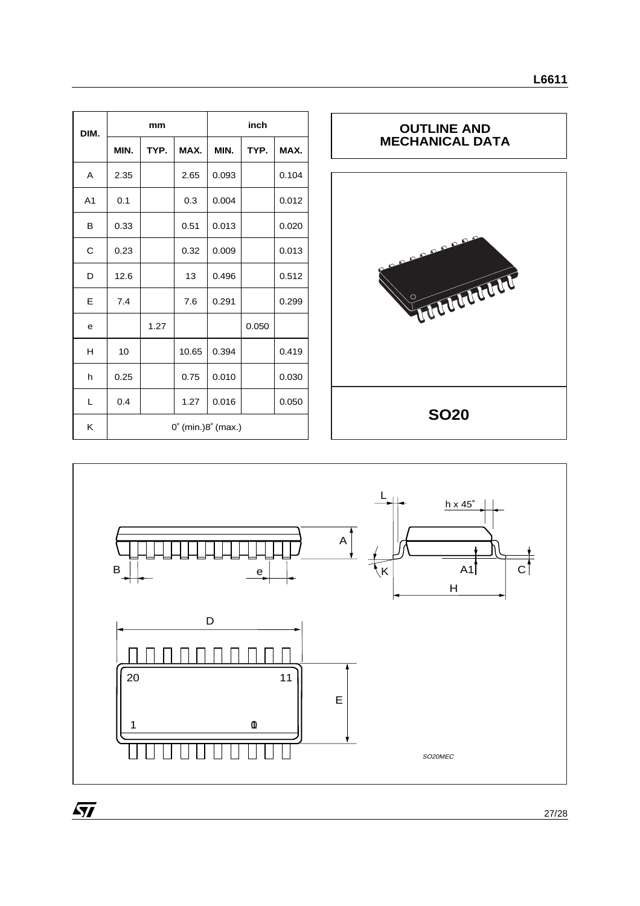| DIM.           |      | mm   |                                       | inch  |       |       |  |
|----------------|------|------|---------------------------------------|-------|-------|-------|--|
|                | MIN. | TYP. | MAX.                                  | MIN.  | TYP.  | MAX.  |  |
| A              | 2.35 |      | 2.65                                  | 0.093 |       | 0.104 |  |
| A <sub>1</sub> | 0.1  |      | 0.3                                   | 0.004 |       | 0.012 |  |
| в              | 0.33 |      | 0.51                                  | 0.013 |       | 0.020 |  |
| С              | 0.23 |      | 0.32                                  | 0.009 |       | 0.013 |  |
| D              | 12.6 |      | 13                                    | 0.496 |       | 0.512 |  |
| E              | 7.4  |      | 7.6                                   | 0.291 |       | 0.299 |  |
| е              |      | 1.27 |                                       |       | 0.050 |       |  |
| н              | 10   |      | 10.65                                 | 0.394 |       | 0.419 |  |
| $\sf h$        | 0.25 |      | 0.75                                  | 0.010 |       | 0.030 |  |
| L              | 0.4  |      | 1.27                                  | 0.016 |       | 0.050 |  |
| Κ              |      |      | $0^{\circ}$ (min.) $8^{\circ}$ (max.) |       |       |       |  |





 $\overline{SI}$